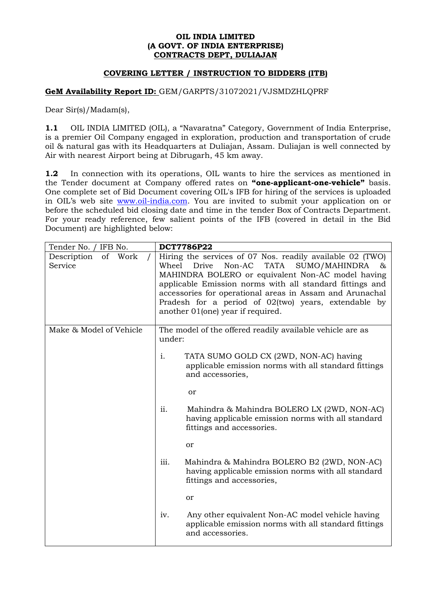### **OIL INDIA LIMITED (A GOVT. OF INDIA ENTERPRISE) CONTRACTS DEPT, DULIAJAN**

### **COVERING LETTER / INSTRUCTION TO BIDDERS (ITB)**

### **GeM Availability Report ID:** GEM/GARPTS/31072021/VJSMDZHLQPRF

Dear Sir(s)/Madam(s),

**1.1** OIL INDIA LIMITED (OIL), a "Navaratna" Category, Government of India Enterprise, is a premier Oil Company engaged in exploration, production and transportation of crude oil & natural gas with its Headquarters at Duliajan, Assam. Duliajan is well connected by Air with nearest Airport being at Dibrugarh, 45 km away.

**1.2** In connection with its operations, OIL wants to hire the services as mentioned in the Tender document at Company offered rates on **"one-applicant-one-vehicle"** basis. One complete set of Bid Document covering OIL's IFB for hiring of the services is uploaded in OIL's web site [www.oil-india.com.](http://www.oil-india.com/) You are invited to submit your application on or before the scheduled bid closing date and time in the tender Box of Contracts Department. For your ready reference, few salient points of the IFB (covered in detail in the Bid Document) are highlighted below:

| Tender No. / IFB No.              |                                                                                                                                                                                                                                                                                                                                                                                                      | <b>DCT7786P22</b>                                                                                                              |  |
|-----------------------------------|------------------------------------------------------------------------------------------------------------------------------------------------------------------------------------------------------------------------------------------------------------------------------------------------------------------------------------------------------------------------------------------------------|--------------------------------------------------------------------------------------------------------------------------------|--|
| Description<br>of Work<br>Service | Hiring the services of 07 Nos. readily available 02 (TWO)<br>Non-AC<br><b>TATA</b><br>Wheel<br>Drive<br>SUMO/MAHINDRA<br>&<br>MAHINDRA BOLERO or equivalent Non-AC model having<br>applicable Emission norms with all standard fittings and<br>accessories for operational areas in Assam and Arunachal<br>Pradesh for a period of 02(two) years, extendable by<br>another 01(one) year if required. |                                                                                                                                |  |
| Make & Model of Vehicle           | under:                                                                                                                                                                                                                                                                                                                                                                                               | The model of the offered readily available vehicle are as                                                                      |  |
|                                   | i.                                                                                                                                                                                                                                                                                                                                                                                                   | TATA SUMO GOLD CX (2WD, NON-AC) having<br>applicable emission norms with all standard fittings<br>and accessories,             |  |
|                                   |                                                                                                                                                                                                                                                                                                                                                                                                      | or                                                                                                                             |  |
|                                   | ii.                                                                                                                                                                                                                                                                                                                                                                                                  | Mahindra & Mahindra BOLERO LX (2WD, NON-AC)<br>having applicable emission norms with all standard<br>fittings and accessories. |  |
|                                   |                                                                                                                                                                                                                                                                                                                                                                                                      | or                                                                                                                             |  |
|                                   | iii.                                                                                                                                                                                                                                                                                                                                                                                                 | Mahindra & Mahindra BOLERO B2 (2WD, NON-AC)<br>having applicable emission norms with all standard<br>fittings and accessories, |  |
|                                   |                                                                                                                                                                                                                                                                                                                                                                                                      | or                                                                                                                             |  |
|                                   | iv.                                                                                                                                                                                                                                                                                                                                                                                                  | Any other equivalent Non-AC model vehicle having<br>applicable emission norms with all standard fittings<br>and accessories.   |  |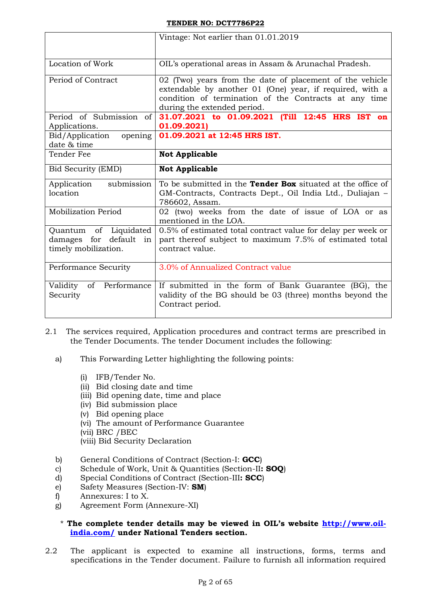|                                                                            | Vintage: Not earlier than 01.01.2019                                                                                                                                                                         |  |  |
|----------------------------------------------------------------------------|--------------------------------------------------------------------------------------------------------------------------------------------------------------------------------------------------------------|--|--|
| Location of Work                                                           | OIL's operational areas in Assam & Arunachal Pradesh.                                                                                                                                                        |  |  |
| Period of Contract                                                         | 02 (Two) years from the date of placement of the vehicle<br>extendable by another 01 (One) year, if required, with a<br>condition of termination of the Contracts at any time<br>during the extended period. |  |  |
| Period of Submission of<br>Applications.                                   | 31.07.2021 to 01.09.2021 (Till 12:45 HRS IST on<br>01.09.2021)                                                                                                                                               |  |  |
| Bid/Application<br>opening<br>date & time                                  | 01.09.2021 at 12:45 HRS IST.                                                                                                                                                                                 |  |  |
| Tender Fee                                                                 | <b>Not Applicable</b>                                                                                                                                                                                        |  |  |
| Bid Security (EMD)                                                         | <b>Not Applicable</b>                                                                                                                                                                                        |  |  |
| submission<br>Application<br>location                                      | To be submitted in the <b>Tender Box</b> situated at the office of<br>GM-Contracts, Contracts Dept., Oil India Ltd., Duliajan -<br>786602, Assam.                                                            |  |  |
| Mobilization Period                                                        | 02 (two) weeks from the date of issue of LOA or as<br>mentioned in the LOA.                                                                                                                                  |  |  |
| of Liquidated<br>Quantum<br>damages for default in<br>timely mobilization. | 0.5% of estimated total contract value for delay per week or<br>part thereof subject to maximum 7.5% of estimated total<br>contract value.                                                                   |  |  |
| Performance Security                                                       | 3.0% of Annualized Contract value                                                                                                                                                                            |  |  |
| of Performance<br>Validity<br>Security                                     | If submitted in the form of Bank Guarantee (BG), the<br>validity of the BG should be 03 (three) months beyond the                                                                                            |  |  |

- 2.1 The services required, Application procedures and contract terms are prescribed in the Tender Documents. The tender Document includes the following:
	- a) This Forwarding Letter highlighting the following points:
		- (i) IFB/Tender No.
		- (ii) Bid closing date and time
		- (iii) Bid opening date, time and place
		- (iv) Bid submission place
		- (v) Bid opening place
		- (vi) The amount of Performance Guarantee
		- (vii) BRC /BEC
		- (viii) Bid Security Declaration
	- b) General Conditions of Contract (Section-I: **GCC**)
	- c) Schedule of Work, Unit & Quantities (Section-II**: SOQ**)
	- d) Special Conditions of Contract (Section-III**: SCC**)
	- e) Safety Measures (Section-IV: **SM**)
	- f) Annexures: I to X.
	- g) Agreement Form (Annexure-XI)

### \* **The complete tender details may be viewed in OIL"s website [http://www.oil](http://www.oil-india.com/)[india.com/](http://www.oil-india.com/) under National Tenders section.**

2.2 The applicant is expected to examine all instructions, forms, terms and specifications in the Tender document. Failure to furnish all information required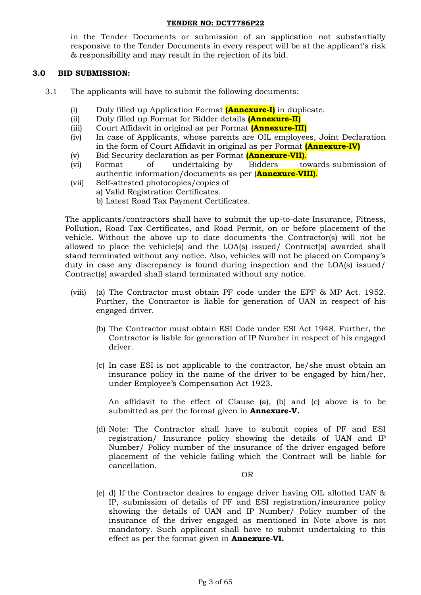in the Tender Documents or submission of an application not substantially responsive to the Tender Documents in every respect will be at the applicant's risk & responsibility and may result in the rejection of its bid.

### **3.0 BID SUBMISSION:**

- 3.1 The applicants will have to submit the following documents:
	- (i) Duly filled up Application Format **(Annexure-I)** in duplicate.
	- (ii) Duly filled up Format for Bidder details **(Annexure-II)**
	- (iii) Court Affidavit in original as per Format **(Annexure-III)**
	- (iv) In case of Applicants, whose parents are OIL employees, Joint Declaration in the form of Court Affidavit in original as per Format **(Annexure-IV)**
	- (v) Bid Security declaration as per Format **(Annexure-VII)**.
	- (vi) Format of undertaking by Bidders towards submission of authentic information/documents as per (**Annexure-VIII)**.
	- (vii) Self-attested photocopies/copies of
		- a) Valid Registration Certificates.
			- b) Latest Road Tax Payment Certificates.

The applicants/contractors shall have to submit the up-to-date Insurance, Fitness, Pollution, Road Tax Certificates, and Road Permit, on or before placement of the vehicle. Without the above up to date documents the Contractor(s) will not be allowed to place the vehicle(s) and the LOA(s) issued/ Contract(s) awarded shall stand terminated without any notice. Also, vehicles will not be placed on Company"s duty in case any discrepancy is found during inspection and the LOA(s) issued/ Contract(s) awarded shall stand terminated without any notice.

- (viii) (a) The Contractor must obtain PF code under the EPF & MP Act. 1952. Further, the Contractor is liable for generation of UAN in respect of his engaged driver.
	- (b) The Contractor must obtain ESI Code under ESI Act 1948. Further, the Contractor is liable for generation of IP Number in respect of his engaged driver.
	- (c) In case ESI is not applicable to the contractor, he/she must obtain an insurance policy in the name of the driver to be engaged by him/her, under Employee"s Compensation Act 1923.

An affidavit to the effect of Clause (a), (b) and (c) above is to be submitted as per the format given in **Annexure-V.**

(d) Note: The Contractor shall have to submit copies of PF and ESI registration/ Insurance policy showing the details of UAN and IP Number/ Policy number of the insurance of the driver engaged before placement of the vehicle failing which the Contract will be liable for cancellation.

OR

(e) d) If the Contractor desires to engage driver having OIL allotted UAN & IP, submission of details of PF and ESI registration/insurance policy showing the details of UAN and IP Number/ Policy number of the insurance of the driver engaged as mentioned in Note above is not mandatory. Such applicant shall have to submit undertaking to this effect as per the format given in **Annexure-VI.**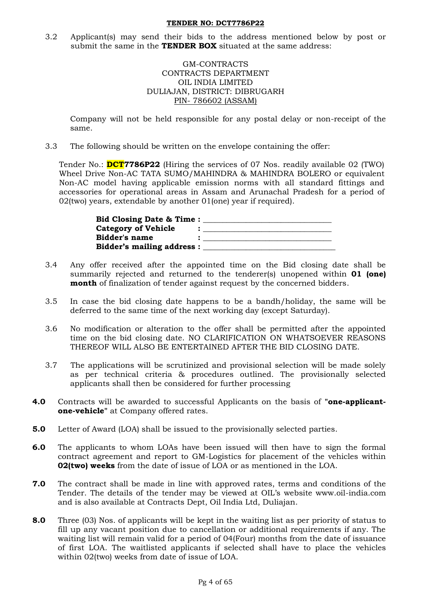3.2 Applicant(s) may send their bids to the address mentioned below by post or submit the same in the **TENDER BOX** situated at the same address:

### GM-CONTRACTS CONTRACTS DEPARTMENT OIL INDIA LIMITED DULIAJAN, DISTRICT: DIBRUGARH PIN- 786602 (ASSAM)

Company will not be held responsible for any postal delay or non-receipt of the same.

3.3 The following should be written on the envelope containing the offer:

Tender No.: **DCT7786P22** (Hiring the services of 07 Nos. readily available 02 (TWO) Wheel Drive Non-AC TATA SUMO/MAHINDRA & MAHINDRA BOLERO or equivalent Non-AC model having applicable emission norms with all standard fittings and accessories for operational areas in Assam and Arunachal Pradesh for a period of 02(two) years, extendable by another 01(one) year if required).

| <b>Bid Closing Date &amp; Time:</b> |  |
|-------------------------------------|--|
| <b>Category of Vehicle</b>          |  |
| Bidder's name                       |  |
| <b>Bidder's mailing address:</b>    |  |

- 3.4 Any offer received after the appointed time on the Bid closing date shall be summarily rejected and returned to the tenderer(s) unopened within **01 (one) month** of finalization of tender against request by the concerned bidders.
- 3.5 In case the bid closing date happens to be a bandh/holiday, the same will be deferred to the same time of the next working day (except Saturday).
- 3.6 No modification or alteration to the offer shall be permitted after the appointed time on the bid closing date. NO CLARIFICATION ON WHATSOEVER REASONS THEREOF WILL ALSO BE ENTERTAINED AFTER THE BID CLOSING DATE.
- 3.7 The applications will be scrutinized and provisional selection will be made solely as per technical criteria & procedures outlined. The provisionally selected applicants shall then be considered for further processing
- **4.0** Contracts will be awarded to successful Applicants on the basis of **"one-applicantone-vehicle"** at Company offered rates.
- **5.0** Letter of Award (LOA) shall be issued to the provisionally selected parties.
- **6.0** The applicants to whom LOAs have been issued will then have to sign the formal contract agreement and report to GM-Logistics for placement of the vehicles within **02(two) weeks** from the date of issue of LOA or as mentioned in the LOA.
- **7.0** The contract shall be made in line with approved rates, terms and conditions of the Tender. The details of the tender may be viewed at OIL"s website www.oil-india.com and is also available at Contracts Dept, Oil India Ltd, Duliajan.
- **8.0** Three (03) Nos. of applicants will be kept in the waiting list as per priority of status to fill up any vacant position due to cancellation or additional requirements if any. The waiting list will remain valid for a period of 04(Four) months from the date of issuance of first LOA. The waitlisted applicants if selected shall have to place the vehicles within 02(two) weeks from date of issue of LOA.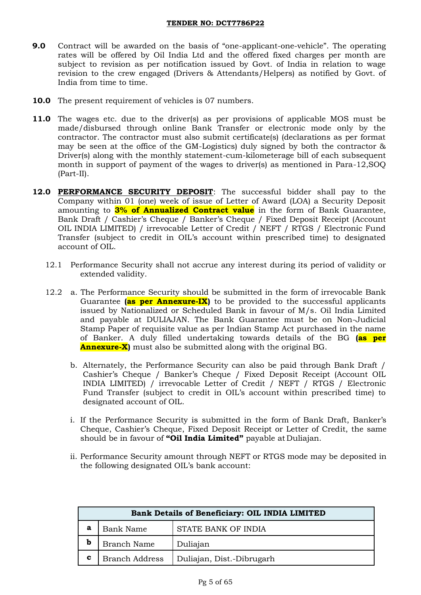- **9.0** Contract will be awarded on the basis of "one-applicant-one-vehicle". The operating rates will be offered by Oil India Ltd and the offered fixed charges per month are subject to revision as per notification issued by Govt. of India in relation to wage revision to the crew engaged (Drivers & Attendants/Helpers) as notified by Govt. of India from time to time.
- **10.0** The present requirement of vehicles is 07 numbers.
- **11.0** The wages etc. due to the driver(s) as per provisions of applicable MOS must be made/disbursed through online Bank Transfer or electronic mode only by the contractor. The contractor must also submit certificate(s) (declarations as per format may be seen at the office of the GM-Logistics) duly signed by both the contractor & Driver(s) along with the monthly statement-cum-kilometerage bill of each subsequent month in support of payment of the wages to driver(s) as mentioned in Para-12,SOQ (Part-II).
- **12.0 PERFORMANCE SECURITY DEPOSIT**: The successful bidder shall pay to the Company within 01 (one) week of issue of Letter of Award (LOA) a Security Deposit amounting to **3% of Annualized Contract value** in the form of Bank Guarantee, Bank Draft / Cashier"s Cheque / Banker"s Cheque / Fixed Deposit Receipt (Account OIL INDIA LIMITED) / irrevocable Letter of Credit / NEFT / RTGS / Electronic Fund Transfer (subject to credit in OIL"s account within prescribed time) to designated account of OIL.
	- 12.1 Performance Security shall not accrue any interest during its period of validity or extended validity.
	- 12.2 a. The Performance Security should be submitted in the form of irrevocable Bank Guarantee **(as per Annexure-IX)** to be provided to the successful applicants issued by Nationalized or Scheduled Bank in favour of M/s. Oil India Limited and payable at DULIAJAN. The Bank Guarantee must be on Non-Judicial Stamp Paper of requisite value as per Indian Stamp Act purchased in the name of Banker. A duly filled undertaking towards details of the BG **(as per Annexure-X)** must also be submitted along with the original BG.
		- b. Alternately, the Performance Security can also be paid through Bank Draft / Cashier"s Cheque / Banker"s Cheque / Fixed Deposit Receipt (Account OIL INDIA LIMITED) / irrevocable Letter of Credit / NEFT / RTGS / Electronic Fund Transfer (subject to credit in OIL"s account within prescribed time) to designated account of OIL.
		- i. If the Performance Security is submitted in the form of Bank Draft, Banker"s Cheque, Cashier"s Cheque, Fixed Deposit Receipt or Letter of Credit, the same should be in favour of **"Oil India Limited"** payable at Duliajan.
		- ii. Performance Security amount through NEFT or RTGS mode may be deposited in the following designated OIL"s bank account:

|   | <b>Bank Details of Beneficiary: OIL INDIA LIMITED</b> |                     |  |  |
|---|-------------------------------------------------------|---------------------|--|--|
| a | <b>Bank Name</b>                                      | STATE BANK OF INDIA |  |  |
| b | <b>Branch Name</b>                                    | Duliajan            |  |  |
| c | Duliajan, Dist.-Dibrugarh<br><b>Branch Address</b>    |                     |  |  |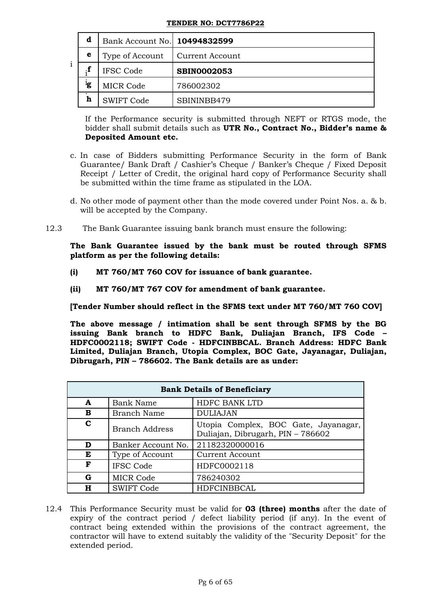|   | d              | Bank Account No.   10494832599 |                    |
|---|----------------|--------------------------------|--------------------|
| ٠ | е              | Type of Account                | Current Account    |
|   | $\cdot$ f      | <b>IFSC Code</b>               | <b>SBIN0002053</b> |
|   | <sup>l</sup> g | <b>MICR Code</b>               | 786002302          |
|   | h              | <b>SWIFT Code</b>              | SBININBB479        |

If the Performance security is submitted through NEFT or RTGS mode, the bidder shall submit details such as **UTR No., Contract No., Bidder"s name & Deposited Amount etc.** 

- c. In case of Bidders submitting Performance Security in the form of Bank Guarantee/ Bank Draft / Cashier"s Cheque / Banker"s Cheque / Fixed Deposit Receipt / Letter of Credit, the original hard copy of Performance Security shall be submitted within the time frame as stipulated in the LOA.
- d. No other mode of payment other than the mode covered under Point Nos. a. & b. will be accepted by the Company.
- 12.3 The Bank Guarantee issuing bank branch must ensure the following:

**The Bank Guarantee issued by the bank must be routed through SFMS platform as per the following details:**

- **(i) MT 760/MT 760 COV for issuance of bank guarantee.**
- **(ii) MT 760/MT 767 COV for amendment of bank guarantee.**

**[Tender Number should reflect in the SFMS text under MT 760/MT 760 COV]**

**The above message / intimation shall be sent through SFMS by the BG issuing Bank branch to HDFC Bank, Duliajan Branch, IFS Code – HDFC0002118; SWIFT Code - HDFCINBBCAL. Branch Address: HDFC Bank Limited, Duliajan Branch, Utopia Complex, BOC Gate, Jayanagar, Duliajan, Dibrugarh, PIN – 786602. The Bank details are as under:**

| <b>Bank Details of Beneficiary</b> |                                          |                                                                           |  |  |  |
|------------------------------------|------------------------------------------|---------------------------------------------------------------------------|--|--|--|
| $\mathbf{A}$                       | <b>HDFC BANK LTD</b><br><b>Bank Name</b> |                                                                           |  |  |  |
| в                                  | Branch Name                              | <b>DULIAJAN</b>                                                           |  |  |  |
| C                                  | <b>Branch Address</b>                    | Utopia Complex, BOC Gate, Jayanagar,<br>Duliajan, Dibrugarh, PIN - 786602 |  |  |  |
| D                                  | Banker Account No.                       | 21182320000016                                                            |  |  |  |
| E                                  | Type of Account                          | <b>Current Account</b>                                                    |  |  |  |
| F                                  | <b>IFSC Code</b>                         | HDFC0002118                                                               |  |  |  |
| G                                  | MICR Code                                | 786240302                                                                 |  |  |  |
| н                                  | <b>SWIFT Code</b>                        | HDFCINBBCAL                                                               |  |  |  |

12.4 This Performance Security must be valid for **03 (three) months** after the date of expiry of the contract period / defect liability period (if any). In the event of contract being extended within the provisions of the contract agreement, the contractor will have to extend suitably the validity of the "Security Deposit" for the extended period.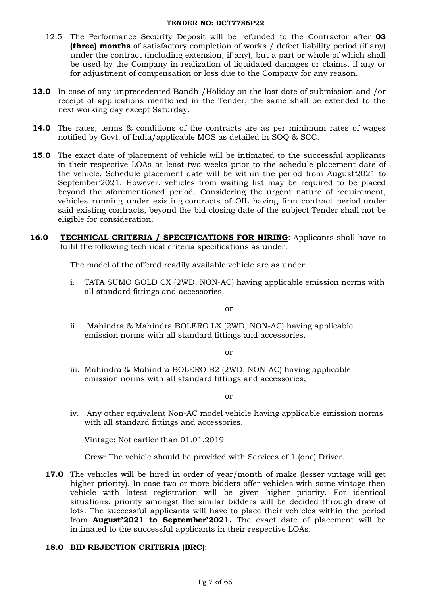- 12.5 The Performance Security Deposit will be refunded to the Contractor after **03 (three) months** of satisfactory completion of works / defect liability period (if any) under the contract (including extension, if any), but a part or whole of which shall be used by the Company in realization of liquidated damages or claims, if any or for adjustment of compensation or loss due to the Company for any reason.
- **13.0** In case of any unprecedented Bandh /Holiday on the last date of submission and /or receipt of applications mentioned in the Tender, the same shall be extended to the next working day except Saturday.
- **14.0** The rates, terms & conditions of the contracts are as per minimum rates of wages notified by Govt. of India/applicable MOS as detailed in SOQ & SCC.
- **15.0** The exact date of placement of vehicle will be intimated to the successful applicants in their respective LOAs at least two weeks prior to the schedule placement date of the vehicle. Schedule placement date will be within the period from August"2021 to September"2021. However, vehicles from waiting list may be required to be placed beyond the aforementioned period. Considering the urgent nature of requirement, vehicles running under existing contracts of OIL having firm contract period under said existing contracts, beyond the bid closing date of the subject Tender shall not be eligible for consideration.
- **16.0 TECHNICAL CRITERIA / SPECIFICATIONS FOR HIRING**: Applicants shall have to fulfil the following technical criteria specifications as under:

The model of the offered readily available vehicle are as under:

i. TATA SUMO GOLD CX (2WD, NON-AC) having applicable emission norms with all standard fittings and accessories,

or

ii. Mahindra & Mahindra BOLERO LX (2WD, NON-AC) having applicable emission norms with all standard fittings and accessories.

or

iii. Mahindra & Mahindra BOLERO B2 (2WD, NON-AC) having applicable emission norms with all standard fittings and accessories,

or

iv. Any other equivalent Non-AC model vehicle having applicable emission norms with all standard fittings and accessories.

Vintage: Not earlier than 01.01.2019

Crew: The vehicle should be provided with Services of 1 (one) Driver.

**17.0** The vehicles will be hired in order of year/month of make (lesser vintage will get higher priority). In case two or more bidders offer vehicles with same vintage then vehicle with latest registration will be given higher priority. For identical situations, priority amongst the similar bidders will be decided through draw of lots. The successful applicants will have to place their vehicles within the period from **August"2021 to September"2021.** The exact date of placement will be intimated to the successful applicants in their respective LOAs.

# **18.0 BID REJECTION CRITERIA (BRC)**: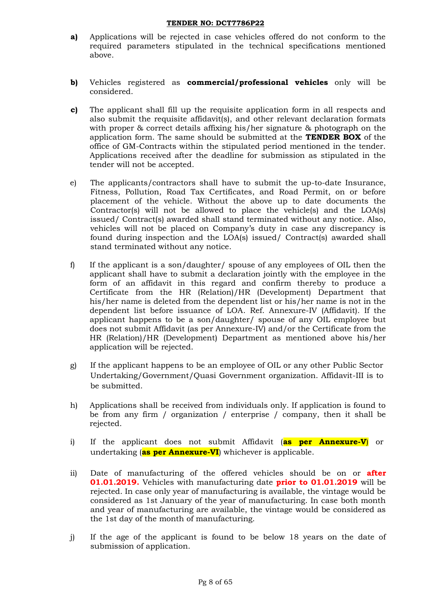- **a)** Applications will be rejected in case vehicles offered do not conform to the required parameters stipulated in the technical specifications mentioned above.
- **b)** Vehicles registered as **commercial/professional vehicles** only will be considered.
- **c)** The applicant shall fill up the requisite application form in all respects and also submit the requisite affidavit(s), and other relevant declaration formats with proper & correct details affixing his/her signature & photograph on the application form. The same should be submitted at the **TENDER BOX** of the office of GM-Contracts within the stipulated period mentioned in the tender. Applications received after the deadline for submission as stipulated in the tender will not be accepted.
- e) The applicants/contractors shall have to submit the up-to-date Insurance, Fitness, Pollution, Road Tax Certificates, and Road Permit, on or before placement of the vehicle. Without the above up to date documents the Contractor(s) will not be allowed to place the vehicle(s) and the LOA(s) issued/ Contract(s) awarded shall stand terminated without any notice. Also, vehicles will not be placed on Company"s duty in case any discrepancy is found during inspection and the LOA(s) issued/ Contract(s) awarded shall stand terminated without any notice.
- f) If the applicant is a son/daughter/ spouse of any employees of OIL then the applicant shall have to submit a declaration jointly with the employee in the form of an affidavit in this regard and confirm thereby to produce a Certificate from the HR (Relation)/HR (Development) Department that his/her name is deleted from the dependent list or his/her name is not in the dependent list before issuance of LOA. Ref. Annexure-IV (Affidavit). If the applicant happens to be a son/daughter/ spouse of any OIL employee but does not submit Affidavit (as per Annexure-IV) and/or the Certificate from the HR (Relation)/HR (Development) Department as mentioned above his/her application will be rejected.
- g) If the applicant happens to be an employee of OIL or any other Public Sector Undertaking/Government/Quasi Government organization. Affidavit-III is to be submitted.
- h) Applications shall be received from individuals only. If application is found to be from any firm / organization / enterprise / company, then it shall be rejected.
- i) If the applicant does not submit Affidavit (**as per Annexure-V**) or undertaking (**as per Annexure-VI**) whichever is applicable.
- ii) Date of manufacturing of the offered vehicles should be on or **after 01.01.2019.** Vehicles with manufacturing date **prior to 01.01.2019** will be rejected. In case only year of manufacturing is available, the vintage would be considered as 1st January of the year of manufacturing. In case both month and year of manufacturing are available, the vintage would be considered as the 1st day of the month of manufacturing.
- j) If the age of the applicant is found to be below 18 years on the date of submission of application.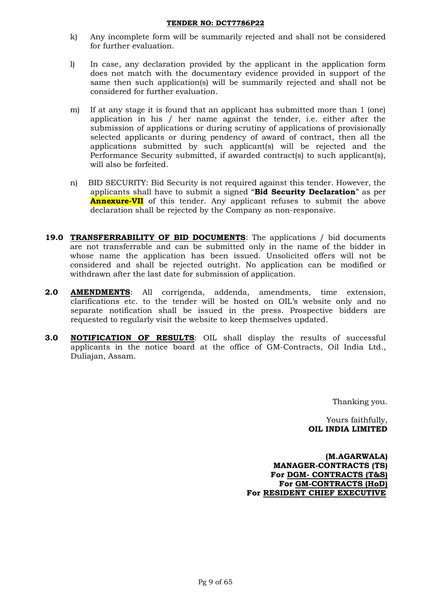- k) Any incomplete form will be summarily rejected and shall not be considered for further evaluation.
- l) In case, any declaration provided by the applicant in the application form does not match with the documentary evidence provided in support of the same then such application(s) will be summarily rejected and shall not be considered for further evaluation.
- m) If at any stage it is found that an applicant has submitted more than 1 (one) application in his / her name against the tender, i.e. either after the submission of applications or during scrutiny of applications of provisionally selected applicants or during pendency of award of contract, then all the applications submitted by such applicant(s) will be rejected and the Performance Security submitted, if awarded contract(s) to such applicant(s), will also be forfeited.
- n) BID SECURITY: Bid Security is not required against this tender. However, the applicants shall have to submit a signed "**Bid Security Declaration**" as per **Annexure-VII** of this tender. Any applicant refuses to submit the above declaration shall be rejected by the Company as non-responsive.
- **19.0 TRANSFERRABILITY OF BID DOCUMENTS**: The applications / bid documents are not transferrable and can be submitted only in the name of the bidder in whose name the application has been issued. Unsolicited offers will not be considered and shall be rejected outright. No application can be modified or withdrawn after the last date for submission of application.
- **2.0 AMENDMENTS**: All corrigenda, addenda, amendments, time extension, clarifications etc. to the tender will be hosted on OIL"s website only and no separate notification shall be issued in the press. Prospective bidders are requested to regularly visit the website to keep themselves updated.
- **3.0 NOTIFICATION OF RESULTS**: OIL shall display the results of successful applicants in the notice board at the office of GM-Contracts, Oil India Ltd., Duliajan, Assam.

Thanking you.

Yours faithfully,  **OIL INDIA LIMITED**

**(M.AGARWALA) MANAGER-CONTRACTS (TS) For DGM- CONTRACTS (T&S) For GM-CONTRACTS (HoD) For RESIDENT CHIEF EXECUTIVE**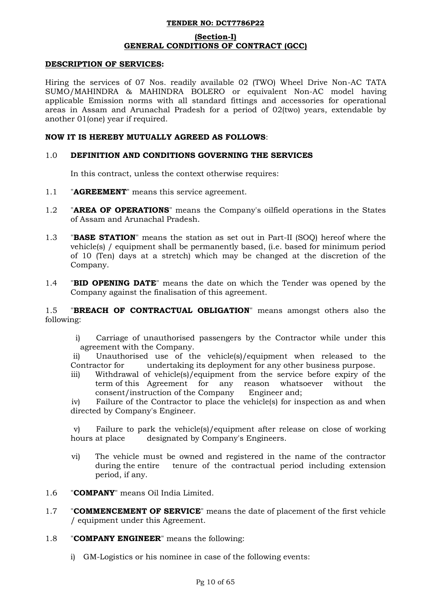### **(Section-I) GENERAL CONDITIONS OF CONTRACT (GCC)**

### **DESCRIPTION OF SERVICES:**

Hiring the services of 07 Nos. readily available 02 (TWO) Wheel Drive Non-AC TATA SUMO/MAHINDRA & MAHINDRA BOLERO or equivalent Non-AC model having applicable Emission norms with all standard fittings and accessories for operational areas in Assam and Arunachal Pradesh for a period of 02(two) years, extendable by another 01(one) year if required.

### **NOW IT IS HEREBY MUTUALLY AGREED AS FOLLOWS**:

### 1.0 **DEFINITION AND CONDITIONS GOVERNING THE SERVICES**

In this contract, unless the context otherwise requires:

- 1.1 "**AGREEMENT**" means this service agreement.
- 1.2 "**AREA OF OPERATIONS**" means the Company's oilfield operations in the States of Assam and Arunachal Pradesh.
- 1.3 "**BASE STATION**" means the station as set out in Part-II (SOQ) hereof where the vehicle(s) / equipment shall be permanently based, (i.e. based for minimum period of 10 (Ten) days at a stretch) which may be changed at the discretion of the Company.
- 1.4 "**BID OPENING DATE**" means the date on which the Tender was opened by the Company against the finalisation of this agreement.

1.5 "**BREACH OF CONTRACTUAL OBLIGATION**" means amongst others also the following:

i) Carriage of unauthorised passengers by the Contractor while under this agreement with the Company.

ii) Unauthorised use of the vehicle(s)/equipment when released to the Contractor for undertaking its deployment for any other business purpose.

iii) Withdrawal of vehicle(s)/equipment from the service before expiry of the term of this Agreement for any reason whatsoever without the consent/instruction of the Company Engineer and;

iv) Failure of the Contractor to place the vehicle(s) for inspection as and when directed by Company's Engineer.

v) Failure to park the vehicle(s)/equipment after release on close of working hours at place designated by Company's Engineers.

- vi) The vehicle must be owned and registered in the name of the contractor during the entire tenure of the contractual period including extension period, if any.
- 1.6 "**COMPANY**" means Oil India Limited.
- 1.7 "**COMMENCEMENT OF SERVICE**" means the date of placement of the first vehicle / equipment under this Agreement.
- 1.8 "**COMPANY ENGINEER**" means the following:
	- i) GM-Logistics or his nominee in case of the following events: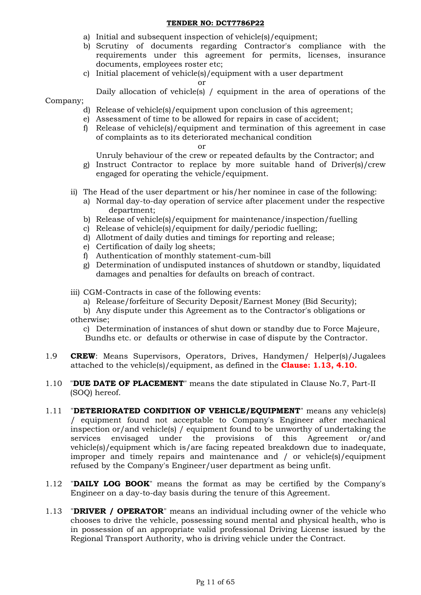- a) Initial and subsequent inspection of vehicle(s)/equipment;
- b) Scrutiny of documents regarding Contractor's compliance with the requirements under this agreement for permits, licenses, insurance documents, employees roster etc;
- c) Initial placement of vehicle(s)/equipment with a user department

or

Daily allocation of vehicle(s) / equipment in the area of operations of the

### Company;

- d) Release of vehicle(s)/equipment upon conclusion of this agreement;
- e) Assessment of time to be allowed for repairs in case of accident;
- f) Release of vehicle(s)/equipment and termination of this agreement in case of complaints as to its deteriorated mechanical condition

#### or

Unruly behaviour of the crew or repeated defaults by the Contractor; and

- g) Instruct Contractor to replace by more suitable hand of Driver(s)/crew engaged for operating the vehicle/equipment.
- ii) The Head of the user department or his/her nominee in case of the following:
	- a) Normal day-to-day operation of service after placement under the respective department;
	- b) Release of vehicle(s)/equipment for maintenance/inspection/fuelling
	- c) Release of vehicle(s)/equipment for daily/periodic fuelling;
	- d) Allotment of daily duties and timings for reporting and release;
	- e) Certification of daily log sheets;
	- f) Authentication of monthly statement-cum-bill
	- g) Determination of undisputed instances of shutdown or standby, liquidated damages and penalties for defaults on breach of contract.
- iii) CGM-Contracts in case of the following events:
	- a) Release/forfeiture of Security Deposit/Earnest Money (Bid Security);

b) Any dispute under this Agreement as to the Contractor's obligations or otherwise;

c) Determination of instances of shut down or standby due to Force Majeure, Bundhs etc. or defaults or otherwise in case of dispute by the Contractor.

- 1.9 **CREW**: Means Supervisors, Operators, Drives, Handymen/ Helper(s)/Jugalees attached to the vehicle(s)/equipment, as defined in the **Clause: 1.13, 4.10.**
- 1.10 "**DUE DATE OF PLACEMENT**" means the date stipulated in Clause No.7, Part-II (SOQ) hereof.
- 1.11 "**DETERIORATED CONDITION OF VEHICLE/EQUIPMENT**" means any vehicle(s) / equipment found not acceptable to Company's Engineer after mechanical inspection or/and vehicle(s) / equipment found to be unworthy of undertaking the services envisaged under the provisions of this Agreement or/and vehicle(s)/equipment which is/are facing repeated breakdown due to inadequate, improper and timely repairs and maintenance and / or vehicle(s)/equipment refused by the Company's Engineer/user department as being unfit.
- 1.12 "**DAILY LOG BOOK**" means the format as may be certified by the Company's Engineer on a day-to-day basis during the tenure of this Agreement.
- 1.13 "**DRIVER / OPERATOR**" means an individual including owner of the vehicle who chooses to drive the vehicle, possessing sound mental and physical health, who is in possession of an appropriate valid professional Driving License issued by the Regional Transport Authority, who is driving vehicle under the Contract.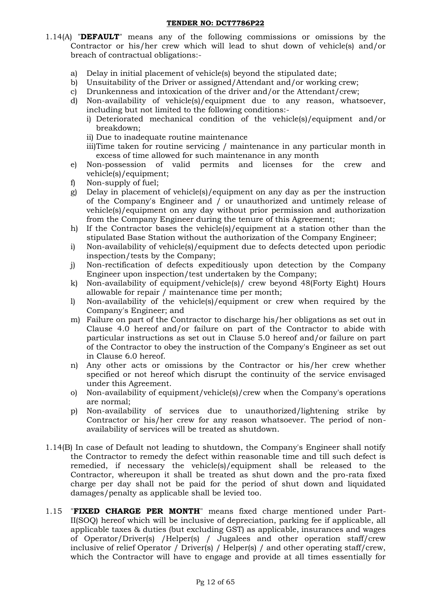- 1.14(A) "**DEFAULT**" means any of the following commissions or omissions by the Contractor or his/her crew which will lead to shut down of vehicle(s) and/or breach of contractual obligations:
	- a) Delay in initial placement of vehicle(s) beyond the stipulated date;
	- b) Unsuitability of the Driver or assigned/Attendant and/or working crew;
	- c) Drunkenness and intoxication of the driver and/or the Attendant/crew;
	- d) Non-availability of vehicle(s)/equipment due to any reason, whatsoever, including but not limited to the following conditions:
		- i) Deteriorated mechanical condition of the vehicle(s)/equipment and/or breakdown;
		- ii) Due to inadequate routine maintenance
		- iii)Time taken for routine servicing / maintenance in any particular month in excess of time allowed for such maintenance in any month
	- e) Non-possession of valid permits and licenses for the crew and vehicle(s)/equipment;
	- f) Non-supply of fuel;
	- g) Delay in placement of vehicle(s)/equipment on any day as per the instruction of the Company's Engineer and / or unauthorized and untimely release of vehicle(s)/equipment on any day without prior permission and authorization from the Company Engineer during the tenure of this Agreement;
	- h) If the Contractor bases the vehicle(s)/equipment at a station other than the stipulated Base Station without the authorization of the Company Engineer;
	- i) Non-availability of vehicle(s)/equipment due to defects detected upon periodic inspection/tests by the Company;
	- j) Non-rectification of defects expeditiously upon detection by the Company Engineer upon inspection/test undertaken by the Company;
	- k) Non-availability of equipment/vehicle(s)/ crew beyond 48(Forty Eight) Hours allowable for repair / maintenance time per month;
	- l) Non-availability of the vehicle(s)/equipment or crew when required by the Company's Engineer; and
	- m) Failure on part of the Contractor to discharge his/her obligations as set out in Clause 4.0 hereof and/or failure on part of the Contractor to abide with particular instructions as set out in Clause 5.0 hereof and/or failure on part of the Contractor to obey the instruction of the Company's Engineer as set out in Clause 6.0 hereof.
	- n) Any other acts or omissions by the Contractor or his/her crew whether specified or not hereof which disrupt the continuity of the service envisaged under this Agreement.
	- o) Non-availability of equipment/vehicle(s)/crew when the Company's operations are normal;
	- p) Non-availability of services due to unauthorized/lightening strike by Contractor or his/her crew for any reason whatsoever. The period of nonavailability of services will be treated as shutdown.
- 1.14(B) In case of Default not leading to shutdown, the Company's Engineer shall notify the Contractor to remedy the defect within reasonable time and till such defect is remedied, if necessary the vehicle(s)/equipment shall be released to the Contractor, whereupon it shall be treated as shut down and the pro-rata fixed charge per day shall not be paid for the period of shut down and liquidated damages/penalty as applicable shall be levied too.
- 1.15 "**FIXED CHARGE PER MONTH**" means fixed charge mentioned under Part-II(SOQ) hereof which will be inclusive of depreciation, parking fee if applicable, all applicable taxes & duties (but excluding GST) as applicable, insurances and wages of Operator/Driver(s) /Helper(s) / Jugalees and other operation staff/crew inclusive of relief Operator / Driver(s) / Helper(s) / and other operating staff/crew, which the Contractor will have to engage and provide at all times essentially for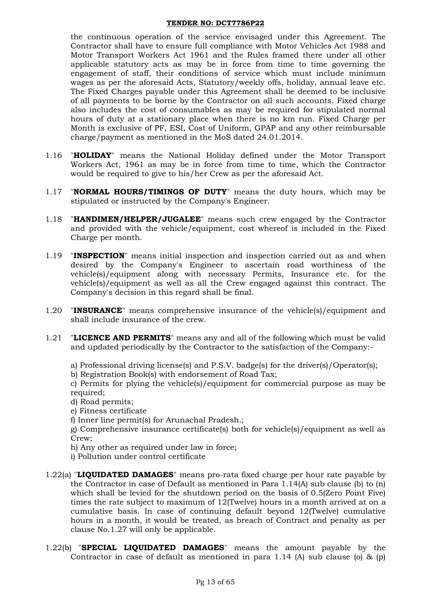the continuous operation of the service envisaged under this Agreement. The Contractor shall have to ensure full compliance with Motor Vehicles Act 1988 and Motor Transport Workers Act 1961 and the Rules framed there under all other applicable statutory acts as may be in force from time to time governing the engagement of staff, their conditions of service which must include minimum wages as per the aforesaid Acts, Statutory/weekly offs, holiday, annual leave etc. The Fixed Charges payable under this Agreement shall be deemed to be inclusive of all payments to be borne by the Contractor on all such accounts. Fixed charge also includes the cost of consumables as may be required for stipulated normal hours of duty at a stationary place when there is no km run. Fixed Charge per Month is exclusive of PF, ESI, Cost of Uniform, GPAP and any other reimbursable charge/payment as mentioned in the MoS dated 24.01.2014.

- 1.16 "**HOLIDAY**" means the National Holiday defined under the Motor Transport Workers Act, 1961 as may be in force from time to time, which the Contractor would be required to give to his/her Crew as per the aforesaid Act.
- 1.17 "**NORMAL HOURS/TIMINGS OF DUTY**" means the duty hours, which may be stipulated or instructed by the Company's Engineer.
- 1.18 "**HANDIMEN/HELPER/JUGALEE**" means such crew engaged by the Contractor and provided with the vehicle/equipment, cost whereof is included in the Fixed Charge per month.
- 1.19 "**INSPECTION**" means initial inspection and inspection carried out as and when desired by the Company's Engineer to ascertain road worthiness of the vehicle(s)/equipment along with necessary Permits, Insurance etc. for the vehicle(s)/equipment as well as all the Crew engaged against this contract. The Company's decision in this regard shall be final.
- 1.20 "**INSURANCE**" means comprehensive insurance of the vehicle(s)/equipment and shall include insurance of the crew.
- 1.21 "**LICENCE AND PERMITS**" means any and all of the following which must be valid and updated periodically by the Contractor to the satisfaction of the Company:
	- a) Professional driving license(s) and P.S.V. badge(s) for the driver(s)/Operator(s);
	- b) Registration Book(s) with endorsement of Road Tax;

c) Permits for plying the vehicle(s)/equipment for commercial purpose as may be required;

- d) Road permits;
- e) Fitness certificate
- f) Inner line permit(s) for Arunachal Pradesh.;

g) Comprehensive insurance certificate(s) both for vehicle(s)/equipment as well as Crew;

- h) Any other as required under law in force;
- i) Pollution under control certificate
- 1.22(a) "**LIQUIDATED DAMAGES**" means pro-rata fixed charge per hour rate payable by the Contractor in case of Default as mentioned in Para 1.14(A) sub clause (b) to (n) which shall be levied for the shutdown period on the basis of 0.5(Zero Point Five) times the rate subject to maximum of 12(Twelve) hours in a month arrived at on a cumulative basis. In case of continuing default beyond 12(Twelve) cumulative hours in a month, it would be treated, as breach of Contract and penalty as per clause No.1.27 will only be applicable.
- 1.22(b) "**SPECIAL LIQUIDATED DAMAGES**" means the amount payable by the Contractor in case of default as mentioned in para 1.14 (A) sub clause (o) & (p)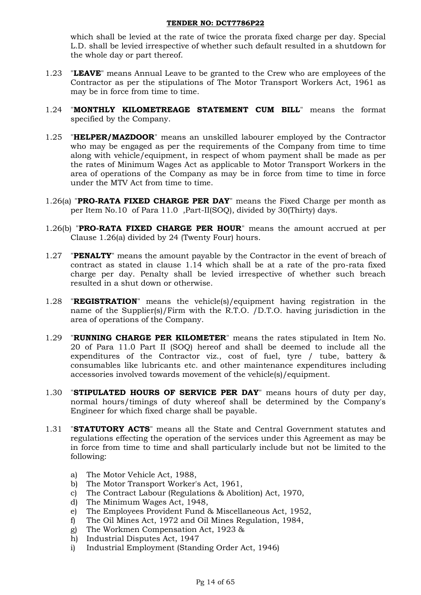which shall be levied at the rate of twice the prorata fixed charge per day. Special L.D. shall be levied irrespective of whether such default resulted in a shutdown for the whole day or part thereof.

- 1.23 "**LEAVE**" means Annual Leave to be granted to the Crew who are employees of the Contractor as per the stipulations of The Motor Transport Workers Act, 1961 as may be in force from time to time.
- 1.24 "**MONTHLY KILOMETREAGE STATEMENT CUM BILL**" means the format specified by the Company.
- 1.25 "**HELPER/MAZDOOR**" means an unskilled labourer employed by the Contractor who may be engaged as per the requirements of the Company from time to time along with vehicle/equipment, in respect of whom payment shall be made as per the rates of Minimum Wages Act as applicable to Motor Transport Workers in the area of operations of the Company as may be in force from time to time in force under the MTV Act from time to time.
- 1.26(a) "**PRO-RATA FIXED CHARGE PER DAY**" means the Fixed Charge per month as per Item No.10 of Para 11.0 ,Part-II(SOQ), divided by 30(Thirty) days.
- 1.26(b) "**PRO-RATA FIXED CHARGE PER HOUR**" means the amount accrued at per Clause 1.26(a) divided by 24 (Twenty Four) hours.
- 1.27 "**PENALTY**" means the amount payable by the Contractor in the event of breach of contract as stated in clause 1.14 which shall be at a rate of the pro-rata fixed charge per day. Penalty shall be levied irrespective of whether such breach resulted in a shut down or otherwise.
- 1.28 "**REGISTRATION**" means the vehicle(s)/equipment having registration in the name of the Supplier(s)/Firm with the R.T.O. /D.T.O. having jurisdiction in the area of operations of the Company.
- 1.29 "**RUNNING CHARGE PER KILOMETER**" means the rates stipulated in Item No. 20 of Para 11.0 Part II (SOQ) hereof and shall be deemed to include all the expenditures of the Contractor viz., cost of fuel, tyre / tube, battery & consumables like lubricants etc. and other maintenance expenditures including accessories involved towards movement of the vehicle(s)/equipment.
- 1.30 "**STIPULATED HOURS OF SERVICE PER DAY**" means hours of duty per day, normal hours/timings of duty whereof shall be determined by the Company's Engineer for which fixed charge shall be payable.
- 1.31 "**STATUTORY ACTS**" means all the State and Central Government statutes and regulations effecting the operation of the services under this Agreement as may be in force from time to time and shall particularly include but not be limited to the following:
	- a) The Motor Vehicle Act, 1988,
	- b) The Motor Transport Worker's Act, 1961,
	- c) The Contract Labour (Regulations & Abolition) Act, 1970,
	- d) The Minimum Wages Act, 1948,
	- e) The Employees Provident Fund & Miscellaneous Act, 1952,
	- f) The Oil Mines Act, 1972 and Oil Mines Regulation, 1984,
	- g) The Workmen Compensation Act, 1923 &
	- h) Industrial Disputes Act, 1947
	- i) Industrial Employment (Standing Order Act, 1946)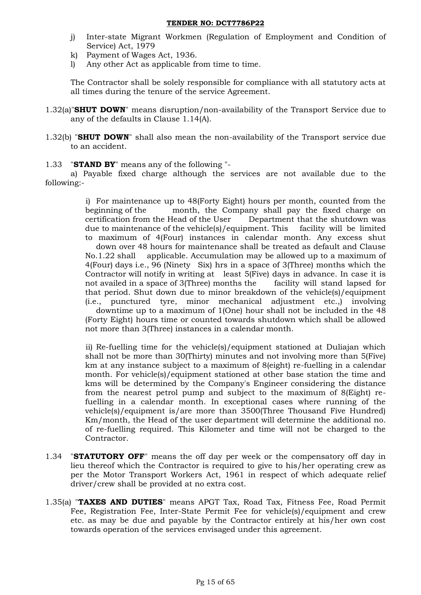- j) Inter-state Migrant Workmen (Regulation of Employment and Condition of Service) Act, 1979
- k) Payment of Wages Act, 1936.
- l) Any other Act as applicable from time to time.

The Contractor shall be solely responsible for compliance with all statutory acts at all times during the tenure of the service Agreement.

- 1.32(a)"**SHUT DOWN**" means disruption/non-availability of the Transport Service due to any of the defaults in Clause 1.14(A).
- 1.32(b) "**SHUT DOWN**" shall also mean the non-availability of the Transport service due to an accident.

### 1.33 "**STAND BY**" means any of the following "-

a) Payable fixed charge although the services are not available due to the following:-

> i) For maintenance up to 48(Forty Eight) hours per month, counted from the beginning of the month, the Company shall pay the fixed charge on certification from the Head of the User Department that the shutdown was due to maintenance of the vehicle(s)/equipment. This facility will be limited to maximum of 4(Four) instances in calendar month. Any excess shut

> down over 48 hours for maintenance shall be treated as default and Clause No.1.22 shall applicable. Accumulation may be allowed up to a maximum of 4(Four) days i.e., 96 (Ninety Six) hrs in a space of 3(Three) months which the Contractor will notify in writing at least 5(Five) days in advance. In case it is not availed in a space of 3(Three) months the facility will stand lapsed for that period. Shut down due to minor breakdown of the vehicle(s)/equipment (i.e., punctured tyre, minor mechanical adjustment etc.,) involving

> downtime up to a maximum of 1(One) hour shall not be included in the 48 (Forty Eight) hours time or counted towards shutdown which shall be allowed not more than 3(Three) instances in a calendar month.

> ii) Re-fuelling time for the vehicle(s)/equipment stationed at Duliajan which shall not be more than 30(Thirty) minutes and not involving more than 5(Five) km at any instance subject to a maximum of 8(eight) re-fuelling in a calendar month. For vehicle(s)/equipment stationed at other base station the time and kms will be determined by the Company's Engineer considering the distance from the nearest petrol pump and subject to the maximum of 8(Eight) refuelling in a calendar month. In exceptional cases where running of the vehicle(s)/equipment is/are more than 3500(Three Thousand Five Hundred) Km/month, the Head of the user department will determine the additional no. of re-fuelling required. This Kilometer and time will not be charged to the Contractor.

- 1.34 "**STATUTORY OFF**" means the off day per week or the compensatory off day in lieu thereof which the Contractor is required to give to his/her operating crew as per the Motor Transport Workers Act, 1961 in respect of which adequate relief driver/crew shall be provided at no extra cost.
- 1.35(a) "**TAXES AND DUTIES**" means APGT Tax, Road Tax, Fitness Fee, Road Permit Fee, Registration Fee, Inter-State Permit Fee for vehicle(s)/equipment and crew etc. as may be due and payable by the Contractor entirely at his/her own cost towards operation of the services envisaged under this agreement.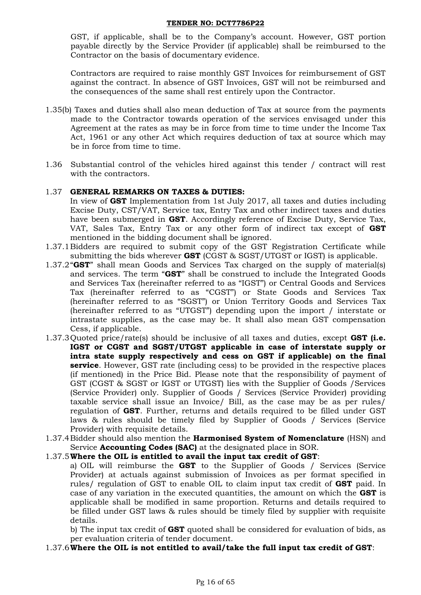GST, if applicable, shall be to the Company"s account. However, GST portion payable directly by the Service Provider (if applicable) shall be reimbursed to the Contractor on the basis of documentary evidence.

Contractors are required to raise monthly GST Invoices for reimbursement of GST against the contract. In absence of GST Invoices, GST will not be reimbursed and the consequences of the same shall rest entirely upon the Contractor.

- 1.35(b) Taxes and duties shall also mean deduction of Tax at source from the payments made to the Contractor towards operation of the services envisaged under this Agreement at the rates as may be in force from time to time under the Income Tax Act, 1961 or any other Act which requires deduction of tax at source which may be in force from time to time.
- 1.36 Substantial control of the vehicles hired against this tender / contract will rest with the contractors.

### 1.37 **GENERAL REMARKS ON TAXES & DUTIES:**

In view of **GST** Implementation from 1st July 2017, all taxes and duties including Excise Duty, CST/VAT, Service tax, Entry Tax and other indirect taxes and duties have been submerged in **GST**. Accordingly reference of Excise Duty, Service Tax, VAT, Sales Tax, Entry Tax or any other form of indirect tax except of **GST** mentioned in the bidding document shall be ignored.

- 1.37.1Bidders are required to submit copy of the GST Registration Certificate while submitting the bids wherever **GST** (CGST & SGST/UTGST or IGST) is applicable.
- 1.37.2"**GST**" shall mean Goods and Services Tax charged on the supply of material(s) and services. The term "**GST**" shall be construed to include the Integrated Goods and Services Tax (hereinafter referred to as "IGST") or Central Goods and Services Tax (hereinafter referred to as "CGST") or State Goods and Services Tax (hereinafter referred to as "SGST") or Union Territory Goods and Services Tax (hereinafter referred to as "UTGST") depending upon the import / interstate or intrastate supplies, as the case may be. It shall also mean GST compensation Cess, if applicable.
- 1.37.3Quoted price/rate(s) should be inclusive of all taxes and duties, except **GST (i.e. IGST or CGST and SGST/UTGST applicable in case of interstate supply or intra state supply respectively and cess on GST if applicable) on the final service**. However, GST rate (including cess) to be provided in the respective places (if mentioned) in the Price Bid. Please note that the responsibility of payment of GST (CGST & SGST or IGST or UTGST) lies with the Supplier of Goods /Services (Service Provider) only. Supplier of Goods / Services (Service Provider) providing taxable service shall issue an Invoice/ Bill, as the case may be as per rules/ regulation of **GST**. Further, returns and details required to be filled under GST laws & rules should be timely filed by Supplier of Goods / Services (Service Provider) with requisite details.
- 1.37.4Bidder should also mention the **Harmonised System of Nomenclature** (HSN) and Service **Accounting Codes (SAC)** at the designated place in SOR.

### 1.37.5**Where the OIL is entitled to avail the input tax credit of GST**:

a) OIL will reimburse the **GST** to the Supplier of Goods / Services (Service Provider) at actuals against submission of Invoices as per format specified in rules/ regulation of GST to enable OIL to claim input tax credit of **GST** paid. In case of any variation in the executed quantities, the amount on which the **GST** is applicable shall be modified in same proportion. Returns and details required to be filled under GST laws & rules should be timely filed by supplier with requisite details.

b) The input tax credit of **GST** quoted shall be considered for evaluation of bids, as per evaluation criteria of tender document.

### 1.37.6**Where the OIL is not entitled to avail/take the full input tax credit of GST**: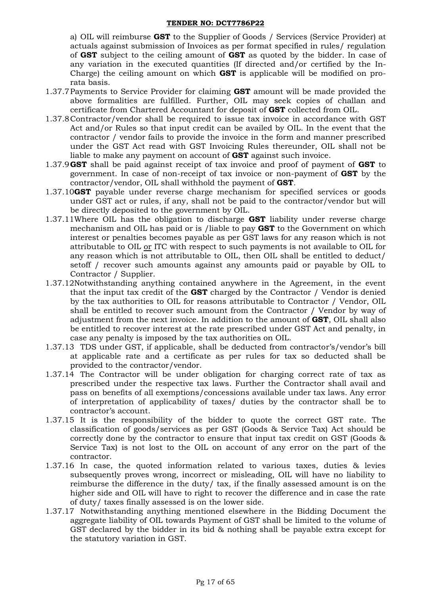a) OIL will reimburse **GST** to the Supplier of Goods / Services (Service Provider) at actuals against submission of Invoices as per format specified in rules/ regulation of **GST** subject to the ceiling amount of **GST** as quoted by the bidder. In case of any variation in the executed quantities (If directed and/or certified by the In-Charge) the ceiling amount on which **GST** is applicable will be modified on prorata basis.

- 1.37.7Payments to Service Provider for claiming **GST** amount will be made provided the above formalities are fulfilled. Further, OIL may seek copies of challan and certificate from Chartered Accountant for deposit of **GST** collected from OIL.
- 1.37.8Contractor/vendor shall be required to issue tax invoice in accordance with GST Act and/or Rules so that input credit can be availed by OIL. In the event that the contractor / vendor fails to provide the invoice in the form and manner prescribed under the GST Act read with GST Invoicing Rules thereunder, OIL shall not be liable to make any payment on account of **GST** against such invoice.
- 1.37.9**GST** shall be paid against receipt of tax invoice and proof of payment of **GST** to government. In case of non-receipt of tax invoice or non-payment of **GST** by the contractor/vendor, OIL shall withhold the payment of **GST**.
- 1.37.10**GST** payable under reverse charge mechanism for specified services or goods under GST act or rules, if any, shall not be paid to the contractor/vendor but will be directly deposited to the government by OIL.
- 1.37.11Where OIL has the obligation to discharge **GST** liability under reverse charge mechanism and OIL has paid or is /liable to pay **GST** to the Government on which interest or penalties becomes payable as per GST laws for any reason which is not attributable to OIL or ITC with respect to such payments is not available to OIL for any reason which is not attributable to OIL, then OIL shall be entitled to deduct/ setoff / recover such amounts against any amounts paid or payable by OIL to Contractor / Supplier.
- 1.37.12Notwithstanding anything contained anywhere in the Agreement, in the event that the input tax credit of the **GST** charged by the Contractor / Vendor is denied by the tax authorities to OIL for reasons attributable to Contractor / Vendor, OIL shall be entitled to recover such amount from the Contractor / Vendor by way of adjustment from the next invoice. In addition to the amount of **GST**, OIL shall also be entitled to recover interest at the rate prescribed under GST Act and penalty, in case any penalty is imposed by the tax authorities on OIL.
- 1.37.13 TDS under GST, if applicable, shall be deducted from contractor"s/vendor"s bill at applicable rate and a certificate as per rules for tax so deducted shall be provided to the contractor/vendor.
- 1.37.14 The Contractor will be under obligation for charging correct rate of tax as prescribed under the respective tax laws. Further the Contractor shall avail and pass on benefits of all exemptions/concessions available under tax laws. Any error of interpretation of applicability of taxes/ duties by the contractor shall be to contractor"s account.
- 1.37.15 It is the responsibility of the bidder to quote the correct GST rate. The classification of goods/services as per GST (Goods & Service Tax) Act should be correctly done by the contractor to ensure that input tax credit on GST (Goods & Service Tax) is not lost to the OIL on account of any error on the part of the contractor.
- 1.37.16 In case, the quoted information related to various taxes, duties & levies subsequently proves wrong, incorrect or misleading, OIL will have no liability to reimburse the difference in the duty/ tax, if the finally assessed amount is on the higher side and OIL will have to right to recover the difference and in case the rate of duty/ taxes finally assessed is on the lower side.
- 1.37.17 Notwithstanding anything mentioned elsewhere in the Bidding Document the aggregate liability of OIL towards Payment of GST shall be limited to the volume of GST declared by the bidder in its bid & nothing shall be payable extra except for the statutory variation in GST.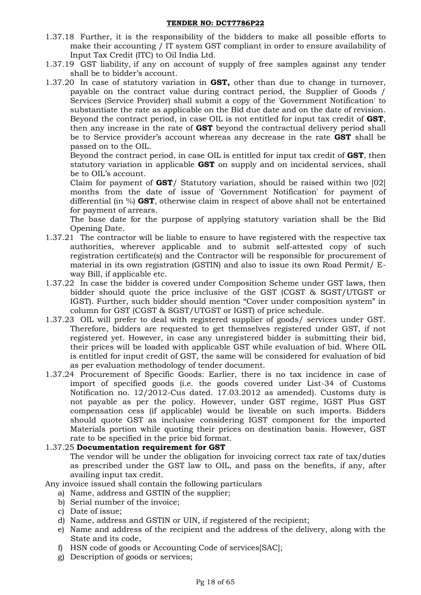- 1.37.18 Further, it is the responsibility of the bidders to make all possible efforts to make their accounting / IT system GST compliant in order to ensure availability of Input Tax Credit (ITC) to Oil India Ltd.
- 1.37.19 GST liability, if any on account of supply of free samples against any tender shall be to bidder"s account.
- 1.37.20 In case of statutory variation in **GST,** other than due to change in turnover, payable on the contract value during contract period, the Supplier of Goods / Services (Service Provider) shall submit a copy of the 'Government Notification' to substantiate the rate as applicable on the Bid due date and on the date of revision. Beyond the contract period, in case OIL is not entitled for input tax credit of **GST**, then any increase in the rate of **GST** beyond the contractual delivery period shall be to Service provider"s account whereas any decrease in the rate **GST** shall be passed on to the OIL.

Beyond the contract period, in case OIL is entitled for input tax credit of **GST**, then statutory variation in applicable **GST** on supply and on incidental services, shall be to OIL"s account.

Claim for payment of **GST**/ Statutory variation, should be raised within two [02] months from the date of issue of 'Government Notification' for payment of differential (in %) **GST**, otherwise claim in respect of above shall not be entertained for payment of arrears.

The base date for the purpose of applying statutory variation shall be the Bid Opening Date.

- 1.37.21 The contractor will be liable to ensure to have registered with the respective tax authorities, wherever applicable and to submit self-attested copy of such registration certificate(s) and the Contractor will be responsible for procurement of material in its own registration (GSTIN) and also to issue its own Road Permit/ Eway Bill, if applicable etc.
- 1.37.22 In case the bidder is covered under Composition Scheme under GST laws, then bidder should quote the price inclusive of the GST (CGST & SGST/UTGST or IGST). Further, such bidder should mention "Cover under composition system" in column for GST (CGST & SGST/UTGST or IGST) of price schedule.
- 1.37.23 OIL will prefer to deal with registered supplier of goods/ services under GST. Therefore, bidders are requested to get themselves registered under GST, if not registered yet. However, in case any unregistered bidder is submitting their bid, their prices will be loaded with applicable GST while evaluation of bid. Where OIL is entitled for input credit of GST, the same will be considered for evaluation of bid as per evaluation methodology of tender document.
- 1.37.24 Procurement of Specific Goods: Earlier, there is no tax incidence in case of import of specified goods (i.e. the goods covered under List-34 of Customs Notification no. 12/2012-Cus dated. 17.03.2012 as amended). Customs duty is not payable as per the policy. However, under GST regime, IGST Plus GST compensation cess (if applicable) would be liveable on such imports. Bidders should quote GST as inclusive considering IGST component for the imported Materials portion while quoting their prices on destination basis. However, GST rate to be specified in the price bid format.

### 1.37.25 **Documentation requirement for GST**

The vendor will be under the obligation for invoicing correct tax rate of tax/duties as prescribed under the GST law to OIL, and pass on the benefits, if any, after availing input tax credit.

Any invoice issued shall contain the following particulars

- a) Name, address and GSTIN of the supplier;
- b) Serial number of the invoice;
- c) Date of issue;
- d) Name, address and GSTIN or UIN, if registered of the recipient;
- e) Name and address of the recipient and the address of the delivery, along with the State and its code,
- f) HSN code of goods or Accounting Code of services[SAC];
- g) Description of goods or services;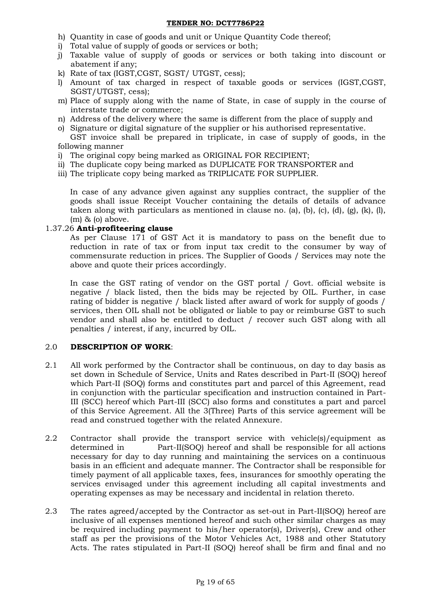- h) Quantity in case of goods and unit or Unique Quantity Code thereof;
- i) Total value of supply of goods or services or both;
- j) Taxable value of supply of goods or services or both taking into discount or abatement if any;
- k) Rate of tax (IGST,CGST, SGST/ UTGST, cess);
- l) Amount of tax charged in respect of taxable goods or services (IGST,CGST, SGST/UTGST, cess);
- m) Place of supply along with the name of State, in case of supply in the course of interstate trade or commerce;
- n) Address of the delivery where the same is different from the place of supply and
- o) Signature or digital signature of the supplier or his authorised representative.

GST invoice shall be prepared in triplicate, in case of supply of goods, in the following manner

- i) The original copy being marked as ORIGINAL FOR RECIPIENT;
- ii) The duplicate copy being marked as DUPLICATE FOR TRANSPORTER and
- iii) The triplicate copy being marked as TRIPLICATE FOR SUPPLIER.

In case of any advance given against any supplies contract, the supplier of the goods shall issue Receipt Voucher containing the details of details of advance taken along with particulars as mentioned in clause no. (a), (b), (c), (d), (g), (k), (l), (m) & (o) above.

### 1.37.26 **Anti-profiteering clause**

As per Clause 171 of GST Act it is mandatory to pass on the benefit due to reduction in rate of tax or from input tax credit to the consumer by way of commensurate reduction in prices. The Supplier of Goods / Services may note the above and quote their prices accordingly.

In case the GST rating of vendor on the GST portal / Govt. official website is negative / black listed, then the bids may be rejected by OIL. Further, in case rating of bidder is negative / black listed after award of work for supply of goods / services, then OIL shall not be obligated or liable to pay or reimburse GST to such vendor and shall also be entitled to deduct / recover such GST along with all penalties / interest, if any, incurred by OIL.

# 2.0 **DESCRIPTION OF WORK**:

- 2.1 All work performed by the Contractor shall be continuous, on day to day basis as set down in Schedule of Service, Units and Rates described in Part-II (SOQ) hereof which Part-II (SOQ) forms and constitutes part and parcel of this Agreement, read in conjunction with the particular specification and instruction contained in Part-III (SCC) hereof which Part-III (SCC) also forms and constitutes a part and parcel of this Service Agreement. All the 3(Three) Parts of this service agreement will be read and construed together with the related Annexure.
- 2.2 Contractor shall provide the transport service with vehicle(s)/equipment as determined in Part-II(SOQ) hereof and shall be responsible for all actions necessary for day to day running and maintaining the services on a continuous basis in an efficient and adequate manner. The Contractor shall be responsible for timely payment of all applicable taxes, fees, insurances for smoothly operating the services envisaged under this agreement including all capital investments and operating expenses as may be necessary and incidental in relation thereto.
- 2.3 The rates agreed/accepted by the Contractor as set-out in Part-II(SOQ) hereof are inclusive of all expenses mentioned hereof and such other similar charges as may be required including payment to his/her operator(s), Driver(s), Crew and other staff as per the provisions of the Motor Vehicles Act, 1988 and other Statutory Acts. The rates stipulated in Part-II (SOQ) hereof shall be firm and final and no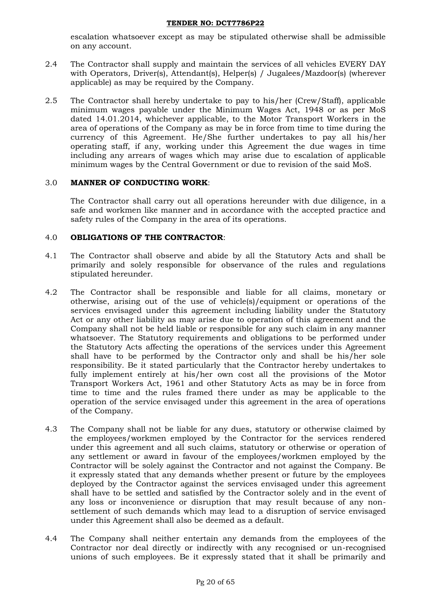escalation whatsoever except as may be stipulated otherwise shall be admissible on any account.

- 2.4 The Contractor shall supply and maintain the services of all vehicles EVERY DAY with Operators, Driver(s), Attendant(s), Helper(s) / Jugalees/Mazdoor(s) (wherever applicable) as may be required by the Company.
- 2.5 The Contractor shall hereby undertake to pay to his/her (Crew/Staff), applicable minimum wages payable under the Minimum Wages Act, 1948 or as per MoS dated 14.01.2014, whichever applicable, to the Motor Transport Workers in the area of operations of the Company as may be in force from time to time during the currency of this Agreement. He/She further undertakes to pay all his/her operating staff, if any, working under this Agreement the due wages in time including any arrears of wages which may arise due to escalation of applicable minimum wages by the Central Government or due to revision of the said MoS.

### 3.0 **MANNER OF CONDUCTING WORK**:

The Contractor shall carry out all operations hereunder with due diligence, in a safe and workmen like manner and in accordance with the accepted practice and safety rules of the Company in the area of its operations.

### 4.0 **OBLIGATIONS OF THE CONTRACTOR**:

- 4.1 The Contractor shall observe and abide by all the Statutory Acts and shall be primarily and solely responsible for observance of the rules and regulations stipulated hereunder.
- 4.2 The Contractor shall be responsible and liable for all claims, monetary or otherwise, arising out of the use of vehicle(s)/equipment or operations of the services envisaged under this agreement including liability under the Statutory Act or any other liability as may arise due to operation of this agreement and the Company shall not be held liable or responsible for any such claim in any manner whatsoever. The Statutory requirements and obligations to be performed under the Statutory Acts affecting the operations of the services under this Agreement shall have to be performed by the Contractor only and shall be his/her sole responsibility. Be it stated particularly that the Contractor hereby undertakes to fully implement entirely at his/her own cost all the provisions of the Motor Transport Workers Act, 1961 and other Statutory Acts as may be in force from time to time and the rules framed there under as may be applicable to the operation of the service envisaged under this agreement in the area of operations of the Company.
- 4.3 The Company shall not be liable for any dues, statutory or otherwise claimed by the employees/workmen employed by the Contractor for the services rendered under this agreement and all such claims, statutory or otherwise or operation of any settlement or award in favour of the employees/workmen employed by the Contractor will be solely against the Contractor and not against the Company. Be it expressly stated that any demands whether present or future by the employees deployed by the Contractor against the services envisaged under this agreement shall have to be settled and satisfied by the Contractor solely and in the event of any loss or inconvenience or disruption that may result because of any nonsettlement of such demands which may lead to a disruption of service envisaged under this Agreement shall also be deemed as a default.
- 4.4 The Company shall neither entertain any demands from the employees of the Contractor nor deal directly or indirectly with any recognised or un-recognised unions of such employees. Be it expressly stated that it shall be primarily and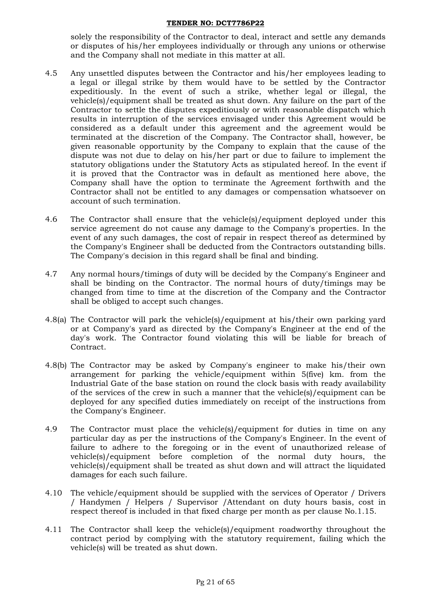solely the responsibility of the Contractor to deal, interact and settle any demands or disputes of his/her employees individually or through any unions or otherwise and the Company shall not mediate in this matter at all.

- 4.5 Any unsettled disputes between the Contractor and his/her employees leading to a legal or illegal strike by them would have to be settled by the Contractor expeditiously. In the event of such a strike, whether legal or illegal, the vehicle(s)/equipment shall be treated as shut down. Any failure on the part of the Contractor to settle the disputes expeditiously or with reasonable dispatch which results in interruption of the services envisaged under this Agreement would be considered as a default under this agreement and the agreement would be terminated at the discretion of the Company. The Contractor shall, however, be given reasonable opportunity by the Company to explain that the cause of the dispute was not due to delay on his/her part or due to failure to implement the statutory obligations under the Statutory Acts as stipulated hereof. In the event if it is proved that the Contractor was in default as mentioned here above, the Company shall have the option to terminate the Agreement forthwith and the Contractor shall not be entitled to any damages or compensation whatsoever on account of such termination.
- 4.6 The Contractor shall ensure that the vehicle(s)/equipment deployed under this service agreement do not cause any damage to the Company's properties. In the event of any such damages, the cost of repair in respect thereof as determined by the Company's Engineer shall be deducted from the Contractors outstanding bills. The Company's decision in this regard shall be final and binding.
- 4.7 Any normal hours/timings of duty will be decided by the Company's Engineer and shall be binding on the Contractor. The normal hours of duty/timings may be changed from time to time at the discretion of the Company and the Contractor shall be obliged to accept such changes.
- 4.8(a) The Contractor will park the vehicle(s)/equipment at his/their own parking yard or at Company's yard as directed by the Company's Engineer at the end of the day's work. The Contractor found violating this will be liable for breach of Contract.
- 4.8(b) The Contractor may be asked by Company's engineer to make his/their own arrangement for parking the vehicle/equipment within 5(five) km. from the Industrial Gate of the base station on round the clock basis with ready availability of the services of the crew in such a manner that the vehicle(s)/equipment can be deployed for any specified duties immediately on receipt of the instructions from the Company's Engineer.
- 4.9 The Contractor must place the vehicle(s)/equipment for duties in time on any particular day as per the instructions of the Company's Engineer. In the event of failure to adhere to the foregoing or in the event of unauthorized release of vehicle(s)/equipment before completion of the normal duty hours, the vehicle(s)/equipment shall be treated as shut down and will attract the liquidated damages for each such failure.
- 4.10 The vehicle/equipment should be supplied with the services of Operator / Drivers / Handymen / Helpers / Supervisor /Attendant on duty hours basis, cost in respect thereof is included in that fixed charge per month as per clause No.1.15.
- 4.11 The Contractor shall keep the vehicle(s)/equipment roadworthy throughout the contract period by complying with the statutory requirement, failing which the vehicle(s) will be treated as shut down.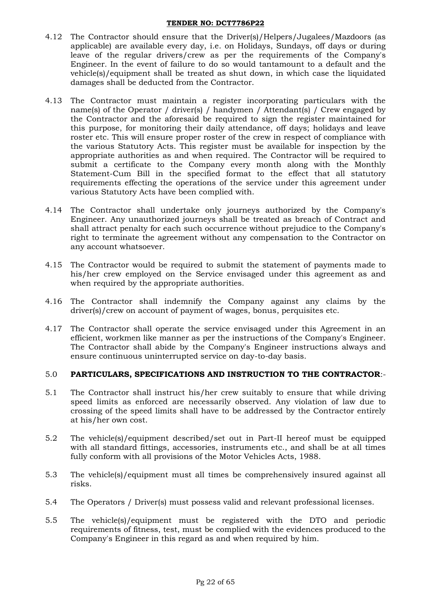- 4.12 The Contractor should ensure that the Driver(s)/Helpers/Jugalees/Mazdoors (as applicable) are available every day, i.e. on Holidays, Sundays, off days or during leave of the regular drivers/crew as per the requirements of the Company's Engineer. In the event of failure to do so would tantamount to a default and the vehicle(s)/equipment shall be treated as shut down, in which case the liquidated damages shall be deducted from the Contractor.
- 4.13 The Contractor must maintain a register incorporating particulars with the name(s) of the Operator / driver(s) / handymen / Attendant(s) / Crew engaged by the Contractor and the aforesaid be required to sign the register maintained for this purpose, for monitoring their daily attendance, off days; holidays and leave roster etc. This will ensure proper roster of the crew in respect of compliance with the various Statutory Acts. This register must be available for inspection by the appropriate authorities as and when required. The Contractor will be required to submit a certificate to the Company every month along with the Monthly Statement-Cum Bill in the specified format to the effect that all statutory requirements effecting the operations of the service under this agreement under various Statutory Acts have been complied with.
- 4.14 The Contractor shall undertake only journeys authorized by the Company's Engineer. Any unauthorized journeys shall be treated as breach of Contract and shall attract penalty for each such occurrence without prejudice to the Company's right to terminate the agreement without any compensation to the Contractor on any account whatsoever.
- 4.15 The Contractor would be required to submit the statement of payments made to his/her crew employed on the Service envisaged under this agreement as and when required by the appropriate authorities.
- 4.16 The Contractor shall indemnify the Company against any claims by the driver(s)/crew on account of payment of wages, bonus, perquisites etc.
- 4.17 The Contractor shall operate the service envisaged under this Agreement in an efficient, workmen like manner as per the instructions of the Company's Engineer. The Contractor shall abide by the Company's Engineer instructions always and ensure continuous uninterrupted service on day-to-day basis.

### 5.0 **PARTICULARS, SPECIFICATIONS AND INSTRUCTION TO THE CONTRACTOR**:-

- 5.1 The Contractor shall instruct his/her crew suitably to ensure that while driving speed limits as enforced are necessarily observed. Any violation of law due to crossing of the speed limits shall have to be addressed by the Contractor entirely at his/her own cost.
- 5.2 The vehicle(s)/equipment described/set out in Part-II hereof must be equipped with all standard fittings, accessories, instruments etc., and shall be at all times fully conform with all provisions of the Motor Vehicles Acts, 1988.
- 5.3 The vehicle(s)/equipment must all times be comprehensively insured against all risks.
- 5.4 The Operators / Driver(s) must possess valid and relevant professional licenses.
- 5.5 The vehicle(s)/equipment must be registered with the DTO and periodic requirements of fitness, test, must be complied with the evidences produced to the Company's Engineer in this regard as and when required by him.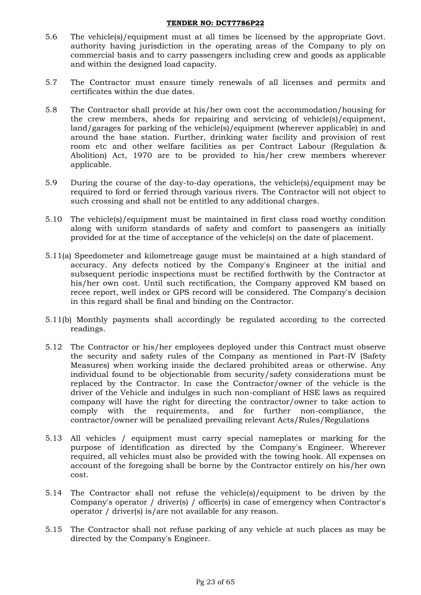- 5.6 The vehicle(s)/equipment must at all times be licensed by the appropriate Govt. authority having jurisdiction in the operating areas of the Company to ply on commercial basis and to carry passengers including crew and goods as applicable and within the designed load capacity.
- 5.7 The Contractor must ensure timely renewals of all licenses and permits and certificates within the due dates.
- 5.8 The Contractor shall provide at his/her own cost the accommodation/housing for the crew members, sheds for repairing and servicing of vehicle(s)/equipment, land/garages for parking of the vehicle(s)/equipment (wherever applicable) in and around the base station. Further, drinking water facility and provision of rest room etc and other welfare facilities as per Contract Labour (Regulation & Abolition) Act, 1970 are to be provided to his/her crew members wherever applicable.
- 5.9 During the course of the day-to-day operations, the vehicle(s)/equipment may be required to ford or ferried through various rivers. The Contractor will not object to such crossing and shall not be entitled to any additional charges.
- 5.10 The vehicle(s)/equipment must be maintained in first class road worthy condition along with uniform standards of safety and comfort to passengers as initially provided for at the time of acceptance of the vehicle(s) on the date of placement.
- 5.11(a) Speedometer and kilometreage gauge must be maintained at a high standard of accuracy. Any defects noticed by the Company's Engineer at the initial and subsequent periodic inspections must be rectified forthwith by the Contractor at his/her own cost. Until such rectification, the Company approved KM based on recee report, well index or GPS record will be considered. The Company's decision in this regard shall be final and binding on the Contractor.
- 5.11(b) Monthly payments shall accordingly be regulated according to the corrected readings.
- 5.12 The Contractor or his/her employees deployed under this Contract must observe the security and safety rules of the Company as mentioned in Part-IV (Safety Measures) when working inside the declared prohibited areas or otherwise. Any individual found to be objectionable from security/safety considerations must be replaced by the Contractor. In case the Contractor/owner of the vehicle is the driver of the Vehicle and indulges in such non-compliant of HSE laws as required company will have the right for directing the contractor/owner to take action to comply with the requirements, and for further non-compliance, the contractor/owner will be penalized prevailing relevant Acts/Rules/Regulations
- 5.13 All vehicles / equipment must carry special nameplates or marking for the purpose of identification as directed by the Company's Engineer. Wherever required, all vehicles must also be provided with the towing hook. All expenses on account of the foregoing shall be borne by the Contractor entirely on his/her own cost.
- 5.14 The Contractor shall not refuse the vehicle(s)/equipment to be driven by the Company's operator / driver(s) / officer(s) in case of emergency when Contractor's operator / driver(s) is/are not available for any reason.
- 5.15 The Contractor shall not refuse parking of any vehicle at such places as may be directed by the Company's Engineer.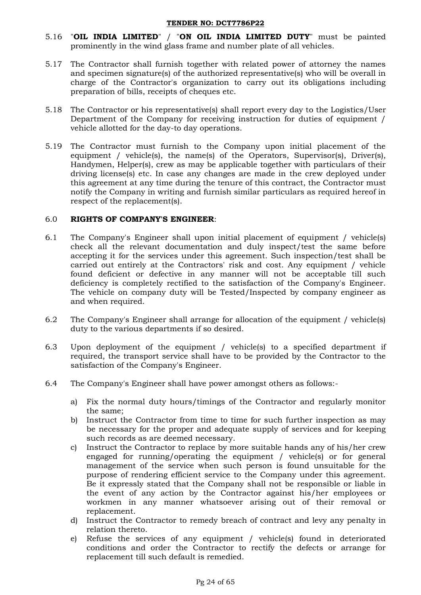- 5.16 "**OIL INDIA LIMITED**" / "**ON OIL INDIA LIMITED DUTY**" must be painted prominently in the wind glass frame and number plate of all vehicles.
- 5.17 The Contractor shall furnish together with related power of attorney the names and specimen signature(s) of the authorized representative(s) who will be overall in charge of the Contractor's organization to carry out its obligations including preparation of bills, receipts of cheques etc.
- 5.18 The Contractor or his representative(s) shall report every day to the Logistics/User Department of the Company for receiving instruction for duties of equipment / vehicle allotted for the day-to day operations.
- 5.19 The Contractor must furnish to the Company upon initial placement of the equipment / vehicle(s), the name(s) of the Operators, Supervisor(s), Driver(s), Handymen, Helper(s), crew as may be applicable together with particulars of their driving license(s) etc. In case any changes are made in the crew deployed under this agreement at any time during the tenure of this contract, the Contractor must notify the Company in writing and furnish similar particulars as required hereof in respect of the replacement(s).

### 6.0 **RIGHTS OF COMPANY'S ENGINEER**:

- 6.1 The Company's Engineer shall upon initial placement of equipment / vehicle(s) check all the relevant documentation and duly inspect/test the same before accepting it for the services under this agreement. Such inspection/test shall be carried out entirely at the Contractors' risk and cost. Any equipment / vehicle found deficient or defective in any manner will not be acceptable till such deficiency is completely rectified to the satisfaction of the Company's Engineer. The vehicle on company duty will be Tested/Inspected by company engineer as and when required.
- 6.2 The Company's Engineer shall arrange for allocation of the equipment / vehicle(s) duty to the various departments if so desired.
- 6.3 Upon deployment of the equipment / vehicle(s) to a specified department if required, the transport service shall have to be provided by the Contractor to the satisfaction of the Company's Engineer.
- 6.4 The Company's Engineer shall have power amongst others as follows:
	- a) Fix the normal duty hours/timings of the Contractor and regularly monitor the same;
	- b) Instruct the Contractor from time to time for such further inspection as may be necessary for the proper and adequate supply of services and for keeping such records as are deemed necessary.
	- c) Instruct the Contractor to replace by more suitable hands any of his/her crew engaged for running/operating the equipment / vehicle(s) or for general management of the service when such person is found unsuitable for the purpose of rendering efficient service to the Company under this agreement. Be it expressly stated that the Company shall not be responsible or liable in the event of any action by the Contractor against his/her employees or workmen in any manner whatsoever arising out of their removal or replacement.
	- d) Instruct the Contractor to remedy breach of contract and levy any penalty in relation thereto.
	- e) Refuse the services of any equipment / vehicle(s) found in deteriorated conditions and order the Contractor to rectify the defects or arrange for replacement till such default is remedied.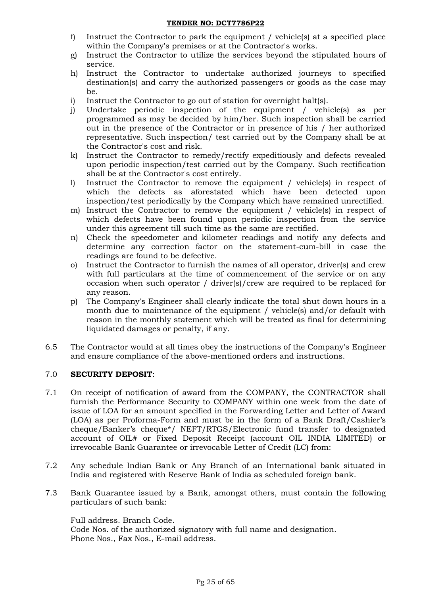- f) Instruct the Contractor to park the equipment / vehicle(s) at a specified place within the Company's premises or at the Contractor's works.
- g) Instruct the Contractor to utilize the services beyond the stipulated hours of service.
- h) Instruct the Contractor to undertake authorized journeys to specified destination(s) and carry the authorized passengers or goods as the case may be.
- i) Instruct the Contractor to go out of station for overnight halt(s).
- j) Undertake periodic inspection of the equipment / vehicle(s) as per programmed as may be decided by him/her. Such inspection shall be carried out in the presence of the Contractor or in presence of his / her authorized representative. Such inspection/ test carried out by the Company shall be at the Contractor's cost and risk.
- k) Instruct the Contractor to remedy/rectify expeditiously and defects revealed upon periodic inspection/test carried out by the Company. Such rectification shall be at the Contractor's cost entirely.
- l) Instruct the Contractor to remove the equipment / vehicle(s) in respect of which the defects as aforestated which have been detected upon inspection/test periodically by the Company which have remained unrectified.
- m) Instruct the Contractor to remove the equipment / vehicle(s) in respect of which defects have been found upon periodic inspection from the service under this agreement till such time as the same are rectified.
- n) Check the speedometer and kilometer readings and notify any defects and determine any correction factor on the statement-cum-bill in case the readings are found to be defective.
- o) Instruct the Contractor to furnish the names of all operator, driver(s) and crew with full particulars at the time of commencement of the service or on any occasion when such operator / driver(s)/crew are required to be replaced for any reason.
- p) The Company's Engineer shall clearly indicate the total shut down hours in a month due to maintenance of the equipment / vehicle(s) and/or default with reason in the monthly statement which will be treated as final for determining liquidated damages or penalty, if any.
- 6.5 The Contractor would at all times obey the instructions of the Company's Engineer and ensure compliance of the above-mentioned orders and instructions.

### 7.0 **SECURITY DEPOSIT**:

- 7.1 On receipt of notification of award from the COMPANY, the CONTRACTOR shall furnish the Performance Security to COMPANY within one week from the date of issue of LOA for an amount specified in the Forwarding Letter and Letter of Award (LOA) as per Proforma-Form and must be in the form of a Bank Draft/Cashier"s cheque/Banker's cheque\*/ NEFT/RTGS/Electronic fund transfer to designated account of OIL# or Fixed Deposit Receipt (account OIL INDIA LIMITED) or irrevocable Bank Guarantee or irrevocable Letter of Credit (LC) from:
- 7.2 Any schedule Indian Bank or Any Branch of an International bank situated in India and registered with Reserve Bank of India as scheduled foreign bank.
- 7.3 Bank Guarantee issued by a Bank, amongst others, must contain the following particulars of such bank:

### Full address. Branch Code.

Code Nos. of the authorized signatory with full name and designation. Phone Nos., Fax Nos., E-mail address.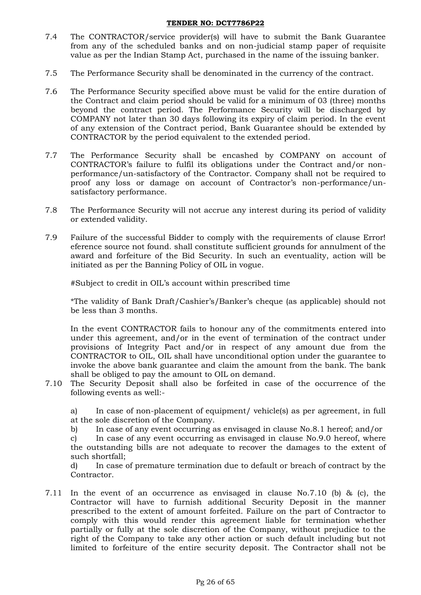- 7.4 The CONTRACTOR/service provider(s) will have to submit the Bank Guarantee from any of the scheduled banks and on non-judicial stamp paper of requisite value as per the Indian Stamp Act, purchased in the name of the issuing banker.
- 7.5 The Performance Security shall be denominated in the currency of the contract.
- 7.6 The Performance Security specified above must be valid for the entire duration of the Contract and claim period should be valid for a minimum of 03 (three) months beyond the contract period. The Performance Security will be discharged by COMPANY not later than 30 days following its expiry of claim period. In the event of any extension of the Contract period, Bank Guarantee should be extended by CONTRACTOR by the period equivalent to the extended period.
- 7.7 The Performance Security shall be encashed by COMPANY on account of CONTRACTOR"s failure to fulfil its obligations under the Contract and/or nonperformance/un-satisfactory of the Contractor. Company shall not be required to proof any loss or damage on account of Contractor's non-performance/unsatisfactory performance.
- 7.8 The Performance Security will not accrue any interest during its period of validity or extended validity.
- 7.9 Failure of the successful Bidder to comply with the requirements of clause Error! eference source not found. shall constitute sufficient grounds for annulment of the award and forfeiture of the Bid Security. In such an eventuality, action will be initiated as per the Banning Policy of OIL in vogue.

#Subject to credit in OIL"s account within prescribed time

\*The validity of Bank Draft/Cashier"s/Banker"s cheque (as applicable) should not be less than 3 months.

In the event CONTRACTOR fails to honour any of the commitments entered into under this agreement, and/or in the event of termination of the contract under provisions of Integrity Pact and/or in respect of any amount due from the CONTRACTOR to OIL, OIL shall have unconditional option under the guarantee to invoke the above bank guarantee and claim the amount from the bank. The bank shall be obliged to pay the amount to OIL on demand.

7.10 The Security Deposit shall also be forfeited in case of the occurrence of the following events as well:-

a) In case of non-placement of equipment/ vehicle(s) as per agreement, in full at the sole discretion of the Company.

b) In case of any event occurring as envisaged in clause No.8.1 hereof; and/or

c) In case of any event occurring as envisaged in clause No.9.0 hereof, where the outstanding bills are not adequate to recover the damages to the extent of such shortfall;

d) In case of premature termination due to default or breach of contract by the Contractor.

7.11 In the event of an occurrence as envisaged in clause No.7.10 (b) & (c), the Contractor will have to furnish additional Security Deposit in the manner prescribed to the extent of amount forfeited. Failure on the part of Contractor to comply with this would render this agreement liable for termination whether partially or fully at the sole discretion of the Company, without prejudice to the right of the Company to take any other action or such default including but not limited to forfeiture of the entire security deposit. The Contractor shall not be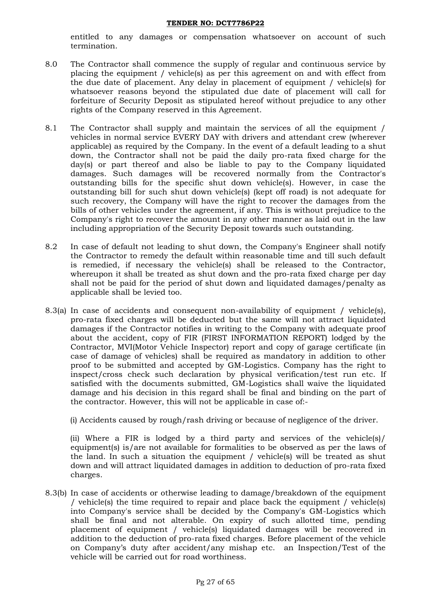entitled to any damages or compensation whatsoever on account of such termination.

- 8.0 The Contractor shall commence the supply of regular and continuous service by placing the equipment / vehicle(s) as per this agreement on and with effect from the due date of placement. Any delay in placement of equipment / vehicle(s) for whatsoever reasons beyond the stipulated due date of placement will call for forfeiture of Security Deposit as stipulated hereof without prejudice to any other rights of the Company reserved in this Agreement.
- 8.1 The Contractor shall supply and maintain the services of all the equipment / vehicles in normal service EVERY DAY with drivers and attendant crew (wherever applicable) as required by the Company. In the event of a default leading to a shut down, the Contractor shall not be paid the daily pro-rata fixed charge for the day(s) or part thereof and also be liable to pay to the Company liquidated damages. Such damages will be recovered normally from the Contractor's outstanding bills for the specific shut down vehicle(s). However, in case the outstanding bill for such shut down vehicle(s) (kept off road) is not adequate for such recovery, the Company will have the right to recover the damages from the bills of other vehicles under the agreement, if any. This is without prejudice to the Company's right to recover the amount in any other manner as laid out in the law including appropriation of the Security Deposit towards such outstanding.
- 8.2 In case of default not leading to shut down, the Company's Engineer shall notify the Contractor to remedy the default within reasonable time and till such default is remedied, if necessary the vehicle(s) shall be released to the Contractor, whereupon it shall be treated as shut down and the pro-rata fixed charge per day shall not be paid for the period of shut down and liquidated damages/penalty as applicable shall be levied too.
- 8.3(a) In case of accidents and consequent non-availability of equipment / vehicle(s), pro-rata fixed charges will be deducted but the same will not attract liquidated damages if the Contractor notifies in writing to the Company with adequate proof about the accident, copy of FIR (FIRST INFORMATION REPORT) lodged by the Contractor, MVI(Motor Vehicle Inspector) report and copy of garage certificate (in case of damage of vehicles) shall be required as mandatory in addition to other proof to be submitted and accepted by GM-Logistics. Company has the right to inspect/cross check such declaration by physical verification/test run etc. If satisfied with the documents submitted, GM-Logistics shall waive the liquidated damage and his decision in this regard shall be final and binding on the part of the contractor. However, this will not be applicable in case of:-

(i) Accidents caused by rough/rash driving or because of negligence of the driver.

(ii) Where a FIR is lodged by a third party and services of the vehicle(s)/ equipment(s) is/are not available for formalities to be observed as per the laws of the land. In such a situation the equipment / vehicle(s) will be treated as shut down and will attract liquidated damages in addition to deduction of pro-rata fixed charges.

8.3(b) In case of accidents or otherwise leading to damage/breakdown of the equipment / vehicle(s) the time required to repair and place back the equipment / vehicle(s) into Company's service shall be decided by the Company's GM-Logistics which shall be final and not alterable. On expiry of such allotted time, pending placement of equipment / vehicle(s) liquidated damages will be recovered in addition to the deduction of pro-rata fixed charges. Before placement of the vehicle on Company"s duty after accident/any mishap etc. an Inspection/Test of the vehicle will be carried out for road worthiness.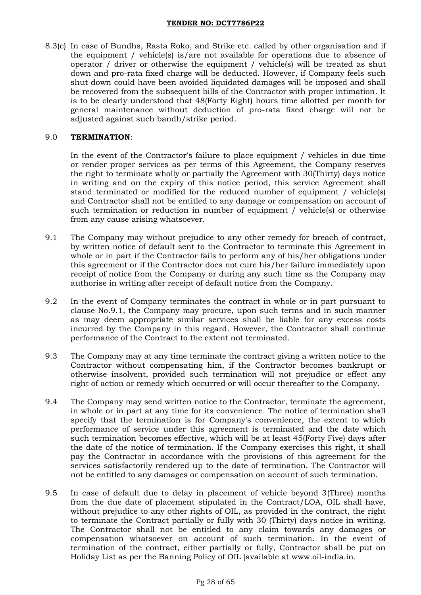8.3(c) In case of Bundhs, Rasta Roko, and Strike etc. called by other organisation and if the equipment / vehicle(s) is/are not available for operations due to absence of operator / driver or otherwise the equipment / vehicle(s) will be treated as shut down and pro-rata fixed charge will be deducted. However, if Company feels such shut down could have been avoided liquidated damages will be imposed and shall be recovered from the subsequent bills of the Contractor with proper intimation. It is to be clearly understood that 48(Forty Eight) hours time allotted per month for general maintenance without deduction of pro-rata fixed charge will not be adjusted against such bandh/strike period.

### 9.0 **TERMINATION**:

In the event of the Contractor's failure to place equipment / vehicles in due time or render proper services as per terms of this Agreement, the Company reserves the right to terminate wholly or partially the Agreement with 30(Thirty) days notice in writing and on the expiry of this notice period, this service Agreement shall stand terminated or modified for the reduced number of equipment / vehicle(s) and Contractor shall not be entitled to any damage or compensation on account of such termination or reduction in number of equipment / vehicle(s) or otherwise from any cause arising whatsoever.

- 9.1 The Company may without prejudice to any other remedy for breach of contract, by written notice of default sent to the Contractor to terminate this Agreement in whole or in part if the Contractor fails to perform any of his/her obligations under this agreement or if the Contractor does not cure his/her failure immediately upon receipt of notice from the Company or during any such time as the Company may authorise in writing after receipt of default notice from the Company.
- 9.2 In the event of Company terminates the contract in whole or in part pursuant to clause No.9.1, the Company may procure, upon such terms and in such manner as may deem appropriate similar services shall be liable for any excess costs incurred by the Company in this regard. However, the Contractor shall continue performance of the Contract to the extent not terminated.
- 9.3 The Company may at any time terminate the contract giving a written notice to the Contractor without compensating him, if the Contractor becomes bankrupt or otherwise insolvent, provided such termination will not prejudice or effect any right of action or remedy which occurred or will occur thereafter to the Company.
- 9.4 The Company may send written notice to the Contractor, terminate the agreement, in whole or in part at any time for its convenience. The notice of termination shall specify that the termination is for Company's convenience, the extent to which performance of service under this agreement is terminated and the date which such termination becomes effective, which will be at least 45(Forty Five) days after the date of the notice of termination. If the Company exercises this right, it shall pay the Contractor in accordance with the provisions of this agreement for the services satisfactorily rendered up to the date of termination. The Contractor will not be entitled to any damages or compensation on account of such termination.
- 9.5 In case of default due to delay in placement of vehicle beyond 3(Three) months from the due date of placement stipulated in the Contract/LOA, OIL shall have, without prejudice to any other rights of OIL, as provided in the contract, the right to terminate the Contract partially or fully with 30 (Thirty) days notice in writing. The Contractor shall not be entitled to any claim towards any damages or compensation whatsoever on account of such termination. In the event of termination of the contract, either partially or fully, Contractor shall be put on Holiday List as per the Banning Policy of OIL [available at [www.oil-india.in.](https://ind01.safelinks.protection.outlook.com/?url=http%3A%2F%2Fwww.oil-india.in%2F&data=04%7C01%7Cmanisha_agarwal%40oilindia.in%7Ca77065e506b340c218a608d9270e3c42%7Ce31a7fb602724369aa63b1e02fa1144d%7C1%7C0%7C637583764348388008%7CUnknown%7CTWFpbGZsb3d8eyJWIjoiMC4wLjAwMDAiLCJQIjoiV2luMzIiLCJBTiI6Ik1haWwiLCJXVCI6Mn0%3D%7C1000&sdata=nVUtVRzid%2FuXoziVk3DekSdWv%2BVv%2B8Pax%2F6g4ZssR10%3D&reserved=0)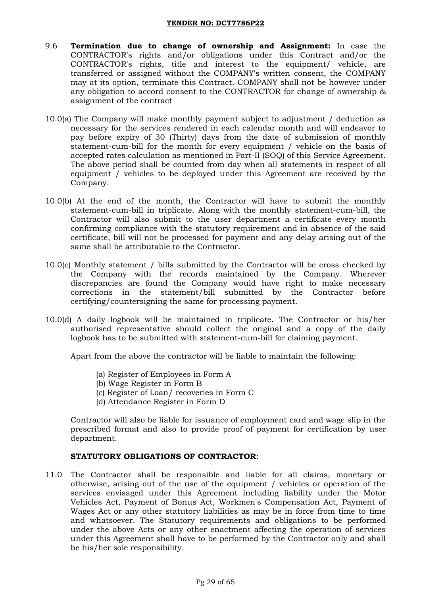- 9.6 **Termination due to change of ownership and Assignment:** In case the CONTRACTOR's rights and/or obligations under this Contract and/or the CONTRACTOR's rights, title and interest to the equipment/ vehicle, are transferred or assigned without the COMPANY's written consent, the COMPANY may at its option, terminate this Contract. COMPANY shall not be however under any obligation to accord consent to the CONTRACTOR for change of ownership & assignment of the contract
- 10.0(a) The Company will make monthly payment subject to adjustment / deduction as necessary for the services rendered in each calendar month and will endeavor to pay before expiry of 30 (Thirty) days from the date of submission of monthly statement-cum-bill for the month for every equipment / vehicle on the basis of accepted rates calculation as mentioned in Part-II (SOQ) of this Service Agreement. The above period shall be counted from day when all statements in respect of all equipment / vehicles to be deployed under this Agreement are received by the Company.
- 10.0(b) At the end of the month, the Contractor will have to submit the monthly statement-cum-bill in triplicate. Along with the monthly statement-cum-bill, the Contractor will also submit to the user department a certificate every month confirming compliance with the statutory requirement and in absence of the said certificate, bill will not be processed for payment and any delay arising out of the same shall be attributable to the Contractor.
- 10.0(c) Monthly statement / bills submitted by the Contractor will be cross checked by the Company with the records maintained by the Company. Wherever discrepancies are found the Company would have right to make necessary corrections in the statement/bill submitted by the Contractor before certifying/countersigning the same for processing payment.
- 10.0(d) A daily logbook will be maintained in triplicate. The Contractor or his/her authorised representative should collect the original and a copy of the daily logbook has to be submitted with statement-cum-bill for claiming payment.

Apart from the above the contractor will be liable to maintain the following:

- (a) Register of Employees in Form A
- (b) Wage Register in Form B
- (c) Register of Loan/ recoveries in Form C
- (d) Attendance Register in Form D

Contractor will also be liable for issuance of employment card and wage slip in the prescribed format and also to provide proof of payment for certification by user department.

### **STATUTORY OBLIGATIONS OF CONTRACTOR**:

11.0 The Contractor shall be responsible and liable for all claims, monetary or otherwise, arising out of the use of the equipment / vehicles or operation of the services envisaged under this Agreement including liability under the Motor Vehicles Act, Payment of Bonus Act, Workmen's Compensation Act, Payment of Wages Act or any other statutory liabilities as may be in force from time to time and whatsoever. The Statutory requirements and obligations to be performed under the above Acts or any other enactment affecting the operation of services under this Agreement shall have to be performed by the Contractor only and shall be his/her sole responsibility.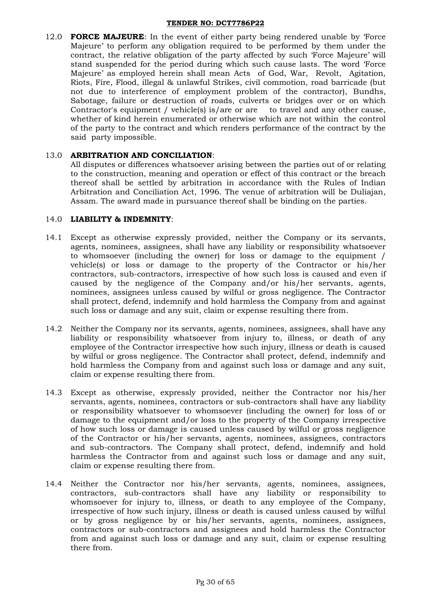12.0 **FORCE MAJEURE**: In the event of either party being rendered unable by "Force Majeure" to perform any obligation required to be performed by them under the contract, the relative obligation of the party affected by such "Force Majeure" will stand suspended for the period during which such cause lasts. The word "Force Majeure" as employed herein shall mean Acts of God, War, Revolt, Agitation, Riots, Fire, Flood, illegal & unlawful Strikes, civil commotion, road barricade (but not due to interference of employment problem of the contractor), Bundhs, Sabotage, failure or destruction of roads, culverts or bridges over or on which Contractor's equipment / vehicle(s) is/are or are to travel and any other cause, whether of kind herein enumerated or otherwise which are not within the control of the party to the contract and which renders performance of the contract by the said party impossible.

### 13.0 **ARBITRATION AND CONCILIATION**:

All disputes or differences whatsoever arising between the parties out of or relating to the construction, meaning and operation or effect of this contract or the breach thereof shall be settled by arbitration in accordance with the Rules of Indian Arbitration and Conciliation Act, 1996. The venue of arbitration will be Duliajan, Assam. The award made in pursuance thereof shall be binding on the parties.

### 14.0 **LIABILITY & INDEMNITY**:

- 14.1 Except as otherwise expressly provided, neither the Company or its servants, agents, nominees, assignees, shall have any liability or responsibility whatsoever to whomsoever (including the owner) for loss or damage to the equipment / vehicle(s) or loss or damage to the property of the Contractor or his/her contractors, sub-contractors, irrespective of how such loss is caused and even if caused by the negligence of the Company and/or his/her servants, agents, nominees, assignees unless caused by wilful or gross negligence. The Contractor shall protect, defend, indemnify and hold harmless the Company from and against such loss or damage and any suit, claim or expense resulting there from.
- 14.2 Neither the Company nor its servants, agents, nominees, assignees, shall have any liability or responsibility whatsoever from injury to, illness, or death of any employee of the Contractor irrespective how such injury, illness or death is caused by wilful or gross negligence. The Contractor shall protect, defend, indemnify and hold harmless the Company from and against such loss or damage and any suit, claim or expense resulting there from.
- 14.3 Except as otherwise, expressly provided, neither the Contractor nor his/her servants, agents, nominees, contractors or sub-contractors shall have any liability or responsibility whatsoever to whomsoever (including the owner) for loss of or damage to the equipment and/or loss to the property of the Company irrespective of how such loss or damage is caused unless caused by wilful or gross negligence of the Contractor or his/her servants, agents, nominees, assignees, contractors and sub-contractors. The Company shall protect, defend, indemnify and hold harmless the Contractor from and against such loss or damage and any suit, claim or expense resulting there from.
- 14.4 Neither the Contractor nor his/her servants, agents, nominees, assignees, contractors, sub-contractors shall have any liability or responsibility to whomsoever for injury to, illness, or death to any employee of the Company, irrespective of how such injury, illness or death is caused unless caused by wilful or by gross negligence by or his/her servants, agents, nominees, assignees, contractors or sub-contractors and assignees and hold harmless the Contractor from and against such loss or damage and any suit, claim or expense resulting there from.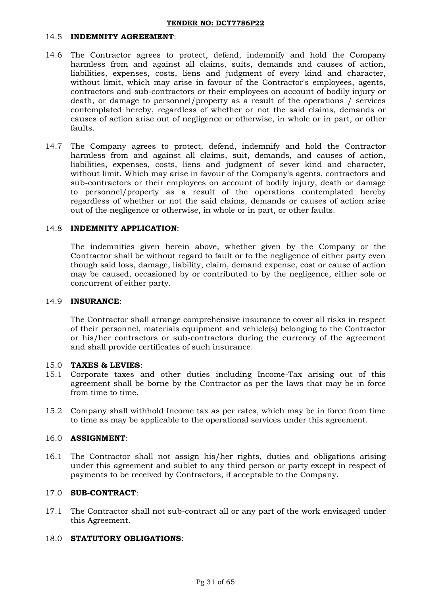### 14.5 **INDEMNITY AGREEMENT**:

- 14.6 The Contractor agrees to protect, defend, indemnify and hold the Company harmless from and against all claims, suits, demands and causes of action, liabilities, expenses, costs, liens and judgment of every kind and character, without limit, which may arise in favour of the Contractor's employees, agents, contractors and sub-contractors or their employees on account of bodily injury or death, or damage to personnel/property as a result of the operations / services contemplated hereby, regardless of whether or not the said claims, demands or causes of action arise out of negligence or otherwise, in whole or in part, or other faults.
- 14.7 The Company agrees to protect, defend, indemnify and hold the Contractor harmless from and against all claims, suit, demands, and causes of action, liabilities, expenses, costs, liens and judgment of sever kind and character, without limit. Which may arise in favour of the Company's agents, contractors and sub-contractors or their employees on account of bodily injury, death or damage to personnel/property as a result of the operations contemplated hereby regardless of whether or not the said claims, demands or causes of action arise out of the negligence or otherwise, in whole or in part, or other faults.

### 14.8 **INDEMNITY APPLICATION**:

The indemnities given herein above, whether given by the Company or the Contractor shall be without regard to fault or to the negligence of either party even though said loss, damage, liability, claim, demand expense, cost or cause of action may be caused, occasioned by or contributed to by the negligence, either sole or concurrent of either party.

### 14.9 **INSURANCE**:

The Contractor shall arrange comprehensive insurance to cover all risks in respect of their personnel, materials equipment and vehicle(s) belonging to the Contractor or his/her contractors or sub-contractors during the currency of the agreement and shall provide certificates of such insurance.

### 15.0 **TAXES & LEVIES**:

- 15.1 Corporate taxes and other duties including Income-Tax arising out of this agreement shall be borne by the Contractor as per the laws that may be in force from time to time.
- 15.2 Company shall withhold Income tax as per rates, which may be in force from time to time as may be applicable to the operational services under this agreement.

### 16.0 **ASSIGNMENT**:

16.1 The Contractor shall not assign his/her rights, duties and obligations arising under this agreement and sublet to any third person or party except in respect of payments to be received by Contractors, if acceptable to the Company.

### 17.0 **SUB-CONTRACT**:

17.1 The Contractor shall not sub-contract all or any part of the work envisaged under this Agreement.

### 18.0 **STATUTORY OBLIGATIONS**: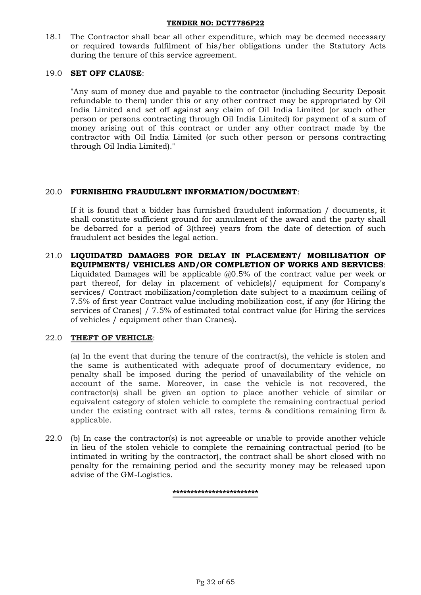18.1 The Contractor shall bear all other expenditure, which may be deemed necessary or required towards fulfilment of his/her obligations under the Statutory Acts during the tenure of this service agreement.

### 19.0 **SET OFF CLAUSE**:

"Any sum of money due and payable to the contractor (including Security Deposit refundable to them) under this or any other contract may be appropriated by Oil India Limited and set off against any claim of Oil India Limited (or such other person or persons contracting through Oil India Limited) for payment of a sum of money arising out of this contract or under any other contract made by the contractor with Oil India Limited (or such other person or persons contracting through Oil India Limited)."

### 20.0 **FURNISHING FRAUDULENT INFORMATION/DOCUMENT**:

If it is found that a bidder has furnished fraudulent information / documents, it shall constitute sufficient ground for annulment of the award and the party shall be debarred for a period of 3(three) years from the date of detection of such fraudulent act besides the legal action.

21.0 **LIQUIDATED DAMAGES FOR DELAY IN PLACEMENT/ MOBILISATION OF EQUIPMENTS/ VEHICLES AND/OR COMPLETION OF WORKS AND SERVICES**: Liquidated Damages will be applicable @0.5% of the contract value per week or part thereof, for delay in placement of vehicle(s)/ equipment for Company's services/ Contract mobilization/completion date subject to a maximum ceiling of 7.5% of first year Contract value including mobilization cost, if any (for Hiring the services of Cranes) / 7.5% of estimated total contract value (for Hiring the services of vehicles / equipment other than Cranes).

### 22.0 **THEFT OF VEHICLE**:

(a) In the event that during the tenure of the contract(s), the vehicle is stolen and the same is authenticated with adequate proof of documentary evidence, no penalty shall be imposed during the period of unavailability of the vehicle on account of the same. Moreover, in case the vehicle is not recovered, the contractor(s) shall be given an option to place another vehicle of similar or equivalent category of stolen vehicle to complete the remaining contractual period under the existing contract with all rates, terms & conditions remaining firm & applicable.

22.0 (b) In case the contractor(s) is not agreeable or unable to provide another vehicle in lieu of the stolen vehicle to complete the remaining contractual period (to be intimated in writing by the contractor), the contract shall be short closed with no penalty for the remaining period and the security money may be released upon advise of the GM-Logistics.

**\*\*\*\*\*\*\*\*\*\*\*\*\*\*\*\*\*\*\*\*\*\*\*\***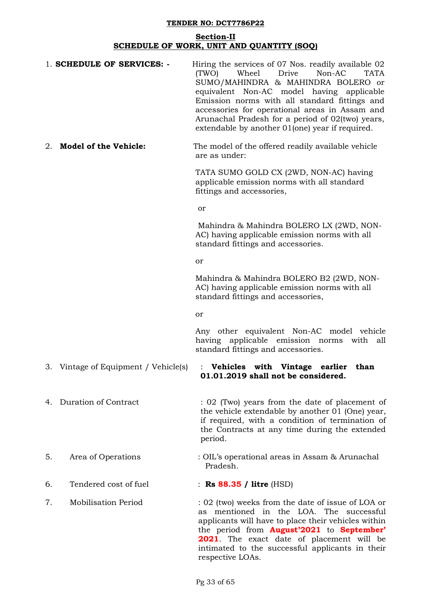### **Section-II SCHEDULE OF WORK, UNIT AND QUANTITY (SOQ)**

|    | 1. SCHEDULE OF SERVICES: -           | Hiring the services of 07 Nos. readily available 02<br>(TWO)<br>Wheel<br>Drive<br>Non-AC<br><b>TATA</b><br>SUMO/MAHINDRA & MAHINDRA BOLERO or<br>equivalent Non-AC model having applicable<br>Emission norms with all standard fittings and<br>accessories for operational areas in Assam and<br>Arunachal Pradesh for a period of 02(two) years,<br>extendable by another 01(one) year if required. |
|----|--------------------------------------|------------------------------------------------------------------------------------------------------------------------------------------------------------------------------------------------------------------------------------------------------------------------------------------------------------------------------------------------------------------------------------------------------|
| 2. | <b>Model of the Vehicle:</b>         | The model of the offered readily available vehicle<br>are as under:                                                                                                                                                                                                                                                                                                                                  |
|    |                                      | TATA SUMO GOLD CX (2WD, NON-AC) having<br>applicable emission norms with all standard<br>fittings and accessories,                                                                                                                                                                                                                                                                                   |
|    |                                      | or                                                                                                                                                                                                                                                                                                                                                                                                   |
|    |                                      | Mahindra & Mahindra BOLERO LX (2WD, NON-<br>AC) having applicable emission norms with all<br>standard fittings and accessories.                                                                                                                                                                                                                                                                      |
|    |                                      | or                                                                                                                                                                                                                                                                                                                                                                                                   |
|    |                                      | Mahindra & Mahindra BOLERO B2 (2WD, NON-<br>AC) having applicable emission norms with all<br>standard fittings and accessories,                                                                                                                                                                                                                                                                      |
|    |                                      | or                                                                                                                                                                                                                                                                                                                                                                                                   |
|    |                                      | Any other equivalent Non-AC model vehicle<br>having applicable emission norms<br>with<br>all<br>standard fittings and accessories.                                                                                                                                                                                                                                                                   |
|    | 3. Vintage of Equipment / Vehicle(s) | <b>Vehicles</b><br>with<br>Vintage<br>$\ddot{\cdot}$<br>earlier<br>than<br>01.01.2019 shall not be considered.                                                                                                                                                                                                                                                                                       |
| 4. | Duration of Contract                 | : 02 (Two) years from the date of placement of<br>the vehicle extendable by another 01 (One) year,<br>if required, with a condition of termination of<br>the Contracts at any time during the extended<br>period.                                                                                                                                                                                    |
| 5. | Area of Operations                   | : OIL's operational areas in Assam & Arunachal<br>Pradesh.                                                                                                                                                                                                                                                                                                                                           |
| 6. | Tendered cost of fuel                | : Rs 88.35 / litre (HSD)                                                                                                                                                                                                                                                                                                                                                                             |
| 7. | <b>Mobilisation Period</b>           | : 02 (two) weeks from the date of issue of LOA or<br>as mentioned in the LOA. The successful<br>applicants will have to place their vehicles within<br>the period from <b>August'2021</b> to <b>September'</b><br><b>2021</b> . The exact date of placement will be<br>intimated to the successful applicants in their                                                                               |

respective LOAs.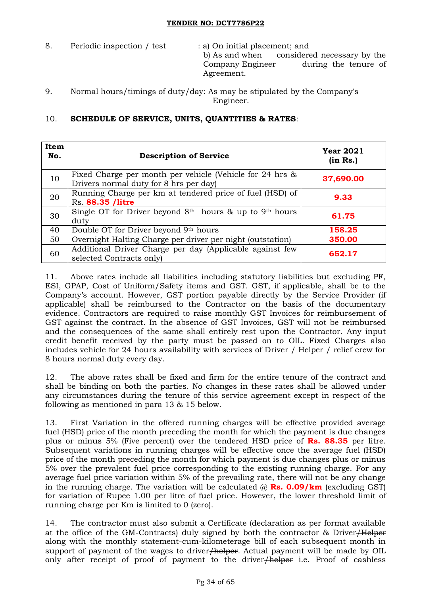8. Periodic inspection / test : a) On initial placement; and

b) As and when considered necessary by the Company Engineer during the tenure of Agreement.

9. Normal hours/timings of duty/day: As may be stipulated by the Company's Engineer.

# 10. **SCHEDULE OF SERVICE, UNITS, QUANTITIES & RATES**:

| Item<br>No. | <b>Description of Service</b>                                                                      | <b>Year 2021</b><br>(in Rs.) |
|-------------|----------------------------------------------------------------------------------------------------|------------------------------|
| 10          | Fixed Charge per month per vehicle (Vehicle for 24 hrs &<br>Drivers normal duty for 8 hrs per day) | 37,690.00                    |
| 20          | Running Charge per km at tendered price of fuel (HSD) of<br>Rs. 88.35 /litre                       | 9.33                         |
| 30          | Single OT for Driver beyond $8th$ hours & up to 9 <sup>th</sup> hours<br>duty                      | 61.75                        |
| 40          | Double OT for Driver beyond 9th hours                                                              | 158.25                       |
| 50          | Overnight Halting Charge per driver per night (outstation)                                         | 350.00                       |
| 60          | Additional Driver Charge per day (Applicable against few<br>selected Contracts only)               | 652.17                       |

11. Above rates include all liabilities including statutory liabilities but excluding PF, ESI, GPAP, Cost of Uniform/Safety items and GST. GST, if applicable, shall be to the Company"s account. However, GST portion payable directly by the Service Provider (if applicable) shall be reimbursed to the Contractor on the basis of the documentary evidence. Contractors are required to raise monthly GST Invoices for reimbursement of GST against the contract. In the absence of GST Invoices, GST will not be reimbursed and the consequences of the same shall entirely rest upon the Contractor. Any input credit benefit received by the party must be passed on to OIL. Fixed Charges also includes vehicle for 24 hours availability with services of Driver / Helper / relief crew for 8 hours normal duty every day.

12. The above rates shall be fixed and firm for the entire tenure of the contract and shall be binding on both the parties. No changes in these rates shall be allowed under any circumstances during the tenure of this service agreement except in respect of the following as mentioned in para 13 & 15 below.

13. First Variation in the offered running charges will be effective provided average fuel (HSD) price of the month preceding the month for which the payment is due changes plus or minus 5% (Five percent) over the tendered HSD price of **Rs. 88.35** per litre. Subsequent variations in running charges will be effective once the average fuel (HSD) price of the month preceding the month for which payment is due changes plus or minus 5% over the prevalent fuel price corresponding to the existing running charge. For any average fuel price variation within 5% of the prevailing rate, there will not be any change in the running charge. The variation will be calculated  $\omega$  **Rs. 0.09/km** (excluding GST) for variation of Rupee 1.00 per litre of fuel price. However, the lower threshold limit of running charge per Km is limited to 0 (zero).

14. The contractor must also submit a Certificate (declaration as per format available at the office of the GM-Contracts) duly signed by both the contractor & Driver/Helper along with the monthly statement-cum-kilometerage bill of each subsequent month in support of payment of the wages to driver/helper. Actual payment will be made by OIL only after receipt of proof of payment to the driver/helper i.e. Proof of cashless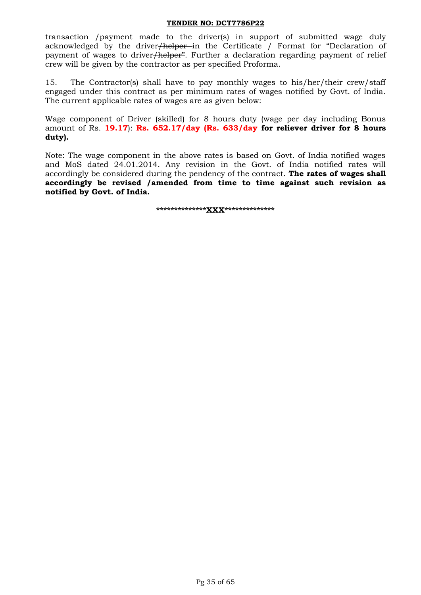transaction /payment made to the driver(s) in support of submitted wage duly acknowledged by the driver/helper in the Certificate / Format for "Declaration of payment of wages to driver<del>/helper</del>". Further a declaration regarding payment of relief crew will be given by the contractor as per specified Proforma.

15. The Contractor(s) shall have to pay monthly wages to his/her/their crew/staff engaged under this contract as per minimum rates of wages notified by Govt. of India. The current applicable rates of wages are as given below:

Wage component of Driver (skilled) for 8 hours duty (wage per day including Bonus amount of Rs. **19.17**): **Rs. 652.17/day (Rs. 633/day for reliever driver for 8 hours duty).**

Note: The wage component in the above rates is based on Govt. of India notified wages and MoS dated 24.01.2014. Any revision in the Govt. of India notified rates will accordingly be considered during the pendency of the contract. **The rates of wages shall accordingly be revised /amended from time to time against such revision as notified by Govt. of India.**

**\*\*\*\*\*\*\*\*\*\*\*\*\*\*XXX\*\*\*\*\*\*\*\*\*\*\*\*\*\***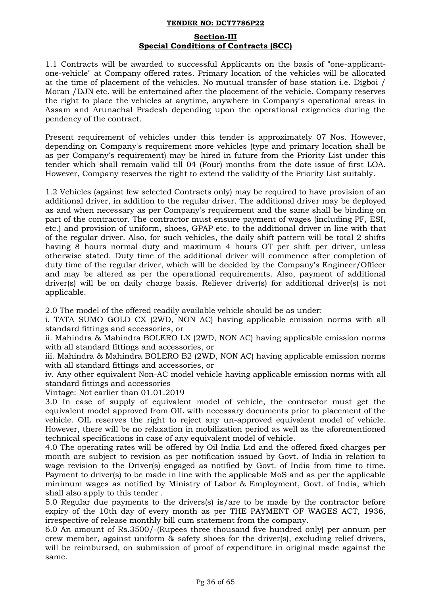### **Section-III Special Conditions of Contracts (SCC)**

1.1 Contracts will be awarded to successful Applicants on the basis of "one-applicantone-vehicle" at Company offered rates. Primary location of the vehicles will be allocated at the time of placement of the vehicles. No mutual transfer of base station i.e. Digboi / Moran /DJN etc. will be entertained after the placement of the vehicle. Company reserves the right to place the vehicles at anytime, anywhere in Company's operational areas in Assam and Arunachal Pradesh depending upon the operational exigencies during the pendency of the contract.

Present requirement of vehicles under this tender is approximately 07 Nos. However, depending on Company's requirement more vehicles (type and primary location shall be as per Company's requirement) may be hired in future from the Priority List under this tender which shall remain valid till 04 (Four) months from the date issue of first LOA. However, Company reserves the right to extend the validity of the Priority List suitably.

1.2 Vehicles (against few selected Contracts only) may be required to have provision of an additional driver, in addition to the regular driver. The additional driver may be deployed as and when necessary as per Company's requirement and the same shall be binding on part of the contractor. The contractor must ensure payment of wages (including PF, ESI, etc.) and provision of uniform, shoes, GPAP etc. to the additional driver in line with that of the regular driver. Also, for such vehicles, the daily shift pattern will be total 2 shifts having 8 hours normal duty and maximum 4 hours OT per shift per driver, unless otherwise stated. Duty time of the additional driver will commence after completion of duty time of the regular driver, which will be decided by the Company's Engineer/Officer and may be altered as per the operational requirements. Also, payment of additional driver(s) will be on daily charge basis. Reliever driver(s) for additional driver(s) is not applicable.

2.0 The model of the offered readily available vehicle should be as under:

i. TATA SUMO GOLD CX (2WD, NON AC) having applicable emission norms with all standard fittings and accessories, or

ii. Mahindra & Mahindra BOLERO LX (2WD, NON AC) having applicable emission norms with all standard fittings and accessories, or

iii. Mahindra & Mahindra BOLERO B2 (2WD, NON AC) having applicable emission norms with all standard fittings and accessories, or

iv. Any other equivalent Non-AC model vehicle having applicable emission norms with all standard fittings and accessories

Vintage: Not earlier than 01.01.2019

3.0 In case of supply of equivalent model of vehicle, the contractor must get the equivalent model approved from OIL with necessary documents prior to placement of the vehicle. OIL reserves the right to reject any un-approved equivalent model of vehicle. However, there will be no relaxation in mobilization period as well as the aforementioned technical specifications in case of any equivalent model of vehicle.

4.0 The operating rates will be offered by Oil India Ltd and the offered fixed charges per month are subject to revision as per notification issued by Govt. of India in relation to wage revision to the Driver(s) engaged as notified by Govt. of India from time to time. Payment to driver(s) to be made in line with the applicable MoS and as per the applicable minimum wages as notified by Ministry of Labor & Employment, Govt. of India, which shall also apply to this tender .

5.0 Regular due payments to the drivers(s) is/are to be made by the contractor before expiry of the 10th day of every month as per THE PAYMENT OF WAGES ACT, 1936, irrespective of release monthly bill cum statement from the company.

6.0 An amount of Rs.3500/-(Rupees three thousand five hundred only) per annum per crew member, against uniform & safety shoes for the driver(s), excluding relief drivers, will be reimbursed, on submission of proof of expenditure in original made against the same.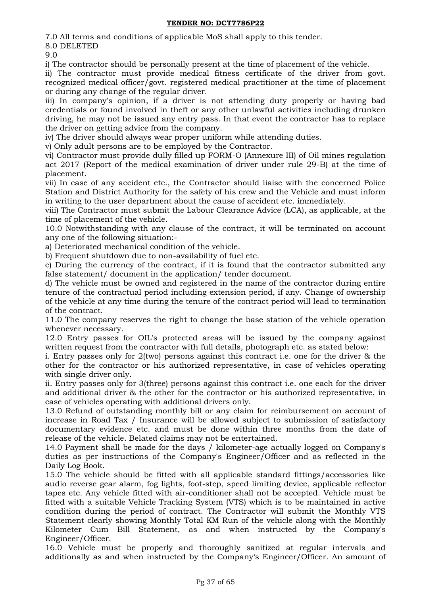7.0 All terms and conditions of applicable MoS shall apply to this tender.

8.0 DELETED

9.0

i) The contractor should be personally present at the time of placement of the vehicle.

ii) The contractor must provide medical fitness certificate of the driver from govt. recognized medical officer/govt. registered medical practitioner at the time of placement or during any change of the regular driver.

iii) In company's opinion, if a driver is not attending duty properly or having bad credentials or found involved in theft or any other unlawful activities including drunken driving, he may not be issued any entry pass. In that event the contractor has to replace the driver on getting advice from the company.

iv) The driver should always wear proper uniform while attending duties.

v) Only adult persons are to be employed by the Contractor.

vi) Contractor must provide dully filled up FORM-O (Annexure III) of Oil mines regulation act 2017 (Report of the medical examination of driver under rule 29-B) at the time of placement.

vii) In case of any accident etc., the Contractor should liaise with the concerned Police Station and District Authority for the safety of his crew and the Vehicle and must inform in writing to the user department about the cause of accident etc. immediately.

viii) The Contractor must submit the Labour Clearance Advice (LCA), as applicable, at the time of placement of the vehicle.

10.0 Notwithstanding with any clause of the contract, it will be terminated on account any one of the following situation:-

a) Deteriorated mechanical condition of the vehicle.

b) Frequent shutdown due to non-availability of fuel etc.

c) During the currency of the contract, if it is found that the contractor submitted any false statement/ document in the application/ tender document.

d) The vehicle must be owned and registered in the name of the contractor during entire tenure of the contractual period including extension period, if any. Change of ownership of the vehicle at any time during the tenure of the contract period will lead to termination of the contract.

11.0 The company reserves the right to change the base station of the vehicle operation whenever necessary.

12.0 Entry passes for OIL's protected areas will be issued by the company against written request from the contractor with full details, photograph etc. as stated below:

i. Entry passes only for 2(two) persons against this contract i.e. one for the driver & the other for the contractor or his authorized representative, in case of vehicles operating with single driver only.

ii. Entry passes only for 3(three) persons against this contract i.e. one each for the driver and additional driver & the other for the contractor or his authorized representative, in case of vehicles operating with additional drivers only.

13.0 Refund of outstanding monthly bill or any claim for reimbursement on account of increase in Road Tax / Insurance will be allowed subject to submission of satisfactory documentary evidence etc. and must be done within three months from the date of release of the vehicle. Belated claims may not be entertained.

14.0 Payment shall be made for the days / kilometer-age actually logged on Company's duties as per instructions of the Company's Engineer/Officer and as reflected in the Daily Log Book.

15.0 The vehicle should be fitted with all applicable standard fittings/accessories like audio reverse gear alarm, fog lights, foot-step, speed limiting device, applicable reflector tapes etc. Any vehicle fitted with air-conditioner shall not be accepted. Vehicle must be fitted with a suitable Vehicle Tracking System (VTS) which is to be maintained in active condition during the period of contract. The Contractor will submit the Monthly VTS Statement clearly showing Monthly Total KM Run of the vehicle along with the Monthly Kilometer Cum Bill Statement, as and when instructed by the Company's Engineer/Officer.

16.0 Vehicle must be properly and thoroughly sanitized at regular intervals and additionally as and when instructed by the Company"s Engineer/Officer. An amount of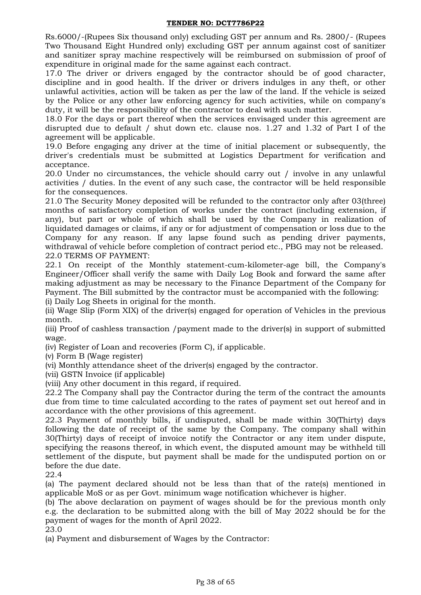Rs.6000/-(Rupees Six thousand only) excluding GST per annum and Rs. 2800/- (Rupees Two Thousand Eight Hundred only) excluding GST per annum against cost of sanitizer and sanitizer spray machine respectively will be reimbursed on submission of proof of expenditure in original made for the same against each contract.

17.0 The driver or drivers engaged by the contractor should be of good character, discipline and in good health. If the driver or drivers indulges in any theft, or other unlawful activities, action will be taken as per the law of the land. If the vehicle is seized by the Police or any other law enforcing agency for such activities, while on company's duty, it will be the responsibility of the contractor to deal with such matter.

18.0 For the days or part thereof when the services envisaged under this agreement are disrupted due to default / shut down etc. clause nos. 1.27 and 1.32 of Part I of the agreement will be applicable.

19.0 Before engaging any driver at the time of initial placement or subsequently, the driver's credentials must be submitted at Logistics Department for verification and acceptance.

20.0 Under no circumstances, the vehicle should carry out / involve in any unlawful activities / duties. In the event of any such case, the contractor will be held responsible for the consequences.

21.0 The Security Money deposited will be refunded to the contractor only after 03(three) months of satisfactory completion of works under the contract (including extension, if any), but part or whole of which shall be used by the Company in realization of liquidated damages or claims, if any or for adjustment of compensation or loss due to the Company for any reason. If any lapse found such as pending driver payments, withdrawal of vehicle before completion of contract period etc., PBG may not be released. 22.0 TERMS OF PAYMENT:

22.1 On receipt of the Monthly statement-cum-kilometer-age bill, the Company's Engineer/Officer shall verify the same with Daily Log Book and forward the same after making adjustment as may be necessary to the Finance Department of the Company for Payment. The Bill submitted by the contractor must be accompanied with the following:

(i) Daily Log Sheets in original for the month.

(ii) Wage Slip (Form XIX) of the driver(s) engaged for operation of Vehicles in the previous month.

(iii) Proof of cashless transaction /payment made to the driver(s) in support of submitted wage.

(iv) Register of Loan and recoveries (Form C), if applicable.

(v) Form B (Wage register)

(vi) Monthly attendance sheet of the driver(s) engaged by the contractor.

(vii) GSTN Invoice (if applicable)

(viii) Any other document in this regard, if required.

22.2 The Company shall pay the Contractor during the term of the contract the amounts due from time to time calculated according to the rates of payment set out hereof and in accordance with the other provisions of this agreement.

22.3 Payment of monthly bills, if undisputed, shall be made within 30(Thirty) days following the date of receipt of the same by the Company. The company shall within 30(Thirty) days of receipt of invoice notify the Contractor or any item under dispute, specifying the reasons thereof, in which event, the disputed amount may be withheld till settlement of the dispute, but payment shall be made for the undisputed portion on or before the due date.

22.4

(a) The payment declared should not be less than that of the rate(s) mentioned in applicable MoS or as per Govt. minimum wage notification whichever is higher.

(b) The above declaration on payment of wages should be for the previous month only e.g. the declaration to be submitted along with the bill of May 2022 should be for the payment of wages for the month of April 2022.

23.0

(a) Payment and disbursement of Wages by the Contractor: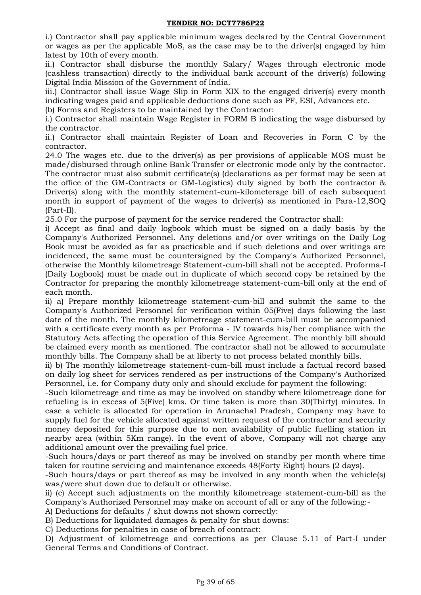i.) Contractor shall pay applicable minimum wages declared by the Central Government or wages as per the applicable MoS, as the case may be to the driver(s) engaged by him latest by 10th of every month.

ii.) Contractor shall disburse the monthly Salary/ Wages through electronic mode (cashless transaction) directly to the individual bank account of the driver(s) following Digital India Mission of the Government of India.

iii.) Contractor shall issue Wage Slip in Form XIX to the engaged driver(s) every month indicating wages paid and applicable deductions done such as PF, ESI, Advances etc.

(b) Forms and Registers to be maintained by the Contractor:

i.) Contractor shall maintain Wage Register in FORM B indicating the wage disbursed by the contractor.

ii.) Contractor shall maintain Register of Loan and Recoveries in Form C by the contractor.

24.0 The wages etc. due to the driver(s) as per provisions of applicable MOS must be made/disbursed through online Bank Transfer or electronic mode only by the contractor. The contractor must also submit certificate(s) (declarations as per format may be seen at the office of the GM-Contracts or GM-Logistics) duly signed by both the contractor & Driver(s) along with the monthly statement-cum-kilometerage bill of each subsequent month in support of payment of the wages to driver(s) as mentioned in Para-12,SOQ (Part-II).

25.0 For the purpose of payment for the service rendered the Contractor shall:

i) Accept as final and daily logbook which must be signed on a daily basis by the Company's Authorized Personnel. Any deletions and/or over writings on the Daily Log Book must be avoided as far as practicable and if such deletions and over writings are incidenced, the same must be countersigned by the Company's Authorized Personnel, otherwise the Monthly kilometreage Statement-cum-bill shall not be accepted. Proforma-I (Daily Logbook) must be made out in duplicate of which second copy be retained by the Contractor for preparing the monthly kilometreage statement-cum-bill only at the end of each month.

ii) a) Prepare monthly kilometreage statement-cum-bill and submit the same to the Company's Authorized Personnel for verification within 05(Five) days following the last date of the month. The monthly kilometreage statement-cum-bill must be accompanied with a certificate every month as per Proforma - IV towards his/her compliance with the Statutory Acts affecting the operation of this Service Agreement. The monthly bill should be claimed every month as mentioned. The contractor shall not be allowed to accumulate monthly bills. The Company shall be at liberty to not process belated monthly bills.

ii) b) The monthly kilometreage statement-cum-bill must include a factual record based on daily log sheet for services rendered as per instructions of the Company's Authorized Personnel, i.e. for Company duty only and should exclude for payment the following:

-Such kilometreage and time as may be involved on standby where kilometreage done for refueling is in excess of 5(Five) kms. Or time taken is more than 30(Thirty) minutes. In case a vehicle is allocated for operation in Arunachal Pradesh, Company may have to supply fuel for the vehicle allocated against written request of the contractor and security money deposited for this purpose due to non availability of public fuelling station in nearby area (within 5Km range). In the event of above, Company will not charge any additional amount over the prevailing fuel price.

-Such hours/days or part thereof as may be involved on standby per month where time taken for routine servicing and maintenance exceeds 48(Forty Eight) hours (2 days).

-Such hours/days or part thereof as may be involved in any month when the vehicle(s) was/were shut down due to default or otherwise.

ii) (c) Accept such adjustments on the monthly kilometreage statement-cum-bill as the Company's Authorized Personnel may make on account of all or any of the following:-

A) Deductions for defaults / shut downs not shown correctly:

B) Deductions for liquidated damages & penalty for shut downs:

C) Deductions for penalties in case of breach of contract:

D) Adjustment of kilometreage and corrections as per Clause 5.11 of Part-I under General Terms and Conditions of Contract.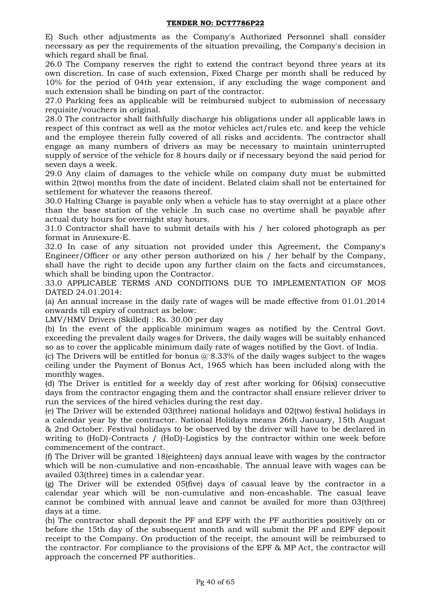E) Such other adjustments as the Company's Authorized Personnel shall consider necessary as per the requirements of the situation prevailing, the Company's decision in which regard shall be final.

26.0 The Company reserves the right to extend the contract beyond three years at its own discretion. In case of such extension, Fixed Charge per month shall be reduced by 10% for the period of 04th year extension, if any excluding the wage component and such extension shall be binding on part of the contractor.

27.0 Parking fees as applicable will be reimbursed subject to submission of necessary requisite/vouchers in original.

28.0 The contractor shall faithfully discharge his obligations under all applicable laws in respect of this contract as well as the motor vehicles act/rules etc. and keep the vehicle and the employee therein fully covered of all risks and accidents. The contractor shall engage as many numbers of drivers as may be necessary to maintain uninterrupted supply of service of the vehicle for 8 hours daily or if necessary beyond the said period for seven days a week.

29.0 Any claim of damages to the vehicle while on company duty must be submitted within 2(two) months from the date of incident. Belated claim shall not be entertained for settlement for whatever the reasons thereof.

30.0 Halting Charge is payable only when a vehicle has to stay overnight at a place other than the base station of the vehicle .In such case no overtime shall be payable after actual duty hours for overnight stay hours.

31.0 Contractor shall have to submit details with his / her colored photograph as per format in Annexure-E.

32.0 In case of any situation not provided under this Agreement, the Company's Engineer/Officer or any other person authorized on his / her behalf by the Company, shall have the right to decide upon any further claim on the facts and circumstances, which shall be binding upon the Contractor.

33.0 APPLICABLE TERMS AND CONDITIONS DUE TO IMPLEMENTATION OF MOS DATED 24.01.2014:

(a) An annual increase in the daily rate of wages will be made effective from 01.01.2014 onwards till expiry of contract as below:

LMV/HMV Drivers (Skilled) : Rs. 30.00 per day

(b) In the event of the applicable minimum wages as notified by the Central Govt. exceeding the prevalent daily wages for Drivers, the daily wages will be suitably enhanced so as to cover the applicable minimum daily rate of wages notified by the Govt. of India.

(c) The Drivers will be entitled for bonus  $\omega$  8.33% of the daily wages subject to the wages ceiling under the Payment of Bonus Act, 1965 which has been included along with the monthly wages.

(d) The Driver is entitled for a weekly day of rest after working for 06(six) consecutive days from the contractor engaging them and the contractor shall ensure reliever driver to run the services of the hired vehicles during the rest day.

(e) The Driver will be extended 03(three) national holidays and 02(two) festival holidays in a calendar year by the contractor. National Holidays means 26th January, 15th August & 2nd October. Festival holidays to be observed by the driver will have to be declared in writing to (HoD)-Contracts / (HoD)-Logistics by the contractor within one week before commencement of the contract.

(f) The Driver will be granted 18(eighteen) days annual leave with wages by the contractor which will be non-cumulative and non-encashable. The annual leave with wages can be availed 03(three) times in a calendar year.

(g) The Driver will be extended 05(five) days of casual leave by the contractor in a calendar year which will be non-cumulative and non-encashable. The casual leave cannot be combined with annual leave and cannot be availed for more than 03(three) days at a time.

(h) The contractor shall deposit the PF and EPF with the PF authorities positively on or before the 15th day of the subsequent month and will submit the PF and EPF deposit receipt to the Company. On production of the receipt, the amount will be reimbursed to the contractor. For compliance to the provisions of the EPF & MP Act, the contractor will approach the concerned PF authorities.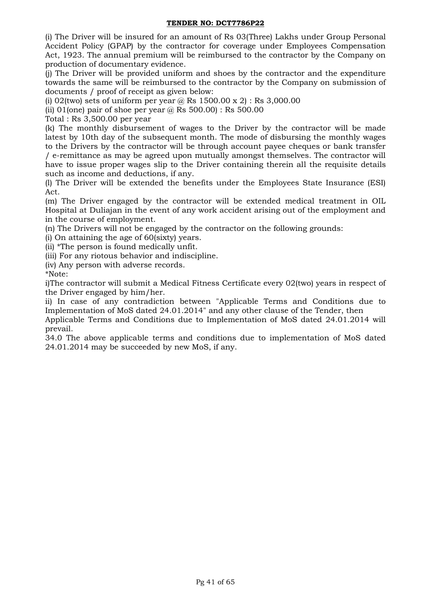(i) The Driver will be insured for an amount of Rs 03(Three) Lakhs under Group Personal Accident Policy (GPAP) by the contractor for coverage under Employees Compensation Act, 1923. The annual premium will be reimbursed to the contractor by the Company on production of documentary evidence.

(j) The Driver will be provided uniform and shoes by the contractor and the expenditure towards the same will be reimbursed to the contractor by the Company on submission of documents / proof of receipt as given below:

(i) 02(two) sets of uniform per year  $\omega$  Rs 1500.00 x 2) : Rs 3,000.00

(ii) 01(one) pair of shoe per year  $\omega$  Rs 500.00) : Rs 500.00

Total : Rs 3,500.00 per year

(k) The monthly disbursement of wages to the Driver by the contractor will be made latest by 10th day of the subsequent month. The mode of disbursing the monthly wages to the Drivers by the contractor will be through account payee cheques or bank transfer / e-remittance as may be agreed upon mutually amongst themselves. The contractor will have to issue proper wages slip to the Driver containing therein all the requisite details such as income and deductions, if any.

(l) The Driver will be extended the benefits under the Employees State Insurance (ESI) Act.

(m) The Driver engaged by the contractor will be extended medical treatment in OIL Hospital at Duliajan in the event of any work accident arising out of the employment and in the course of employment.

(n) The Drivers will not be engaged by the contractor on the following grounds:

(i) On attaining the age of 60(sixty) years.

(ii) \*The person is found medically unfit.

(iii) For any riotous behavior and indiscipline.

(iv) Any person with adverse records.

\*Note:

i)The contractor will submit a Medical Fitness Certificate every 02(two) years in respect of the Driver engaged by him/her.

ii) In case of any contradiction between "Applicable Terms and Conditions due to Implementation of MoS dated 24.01.2014" and any other clause of the Tender, then

Applicable Terms and Conditions due to Implementation of MoS dated 24.01.2014 will prevail.

34.0 The above applicable terms and conditions due to implementation of MoS dated 24.01.2014 may be succeeded by new MoS, if any.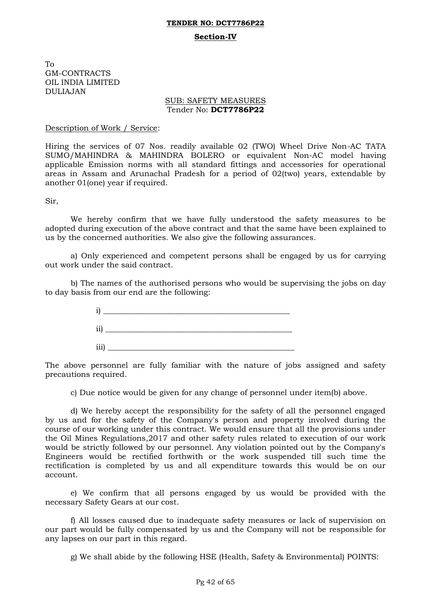# **TENDER NO: DCT7786P22 Section-IV**

To GM-CONTRACTS OIL INDIA LIMITED DULIAJAN

### SUB: SAFETY MEASURES Tender No: **DCT7786P22**

### Description of Work / Service:

Hiring the services of 07 Nos. readily available 02 (TWO) Wheel Drive Non-AC TATA SUMO/MAHINDRA & MAHINDRA BOLERO or equivalent Non-AC model having applicable Emission norms with all standard fittings and accessories for operational areas in Assam and Arunachal Pradesh for a period of 02(two) years, extendable by another 01(one) year if required.

Sir,

We hereby confirm that we have fully understood the safety measures to be adopted during execution of the above contract and that the same have been explained to us by the concerned authorities. We also give the following assurances.

a) Only experienced and competent persons shall be engaged by us for carrying out work under the said contract.

b) The names of the authorised persons who would be supervising the jobs on day to day basis from our end are the following:



The above personnel are fully familiar with the nature of jobs assigned and safety precautions required.

c) Due notice would be given for any change of personnel under item(b) above.

d) We hereby accept the responsibility for the safety of all the personnel engaged by us and for the safety of the Company's person and property involved during the course of our working under this contract. We would ensure that all the provisions under the Oil Mines Regulations,2017 and other safety rules related to execution of our work would be strictly followed by our personnel. Any violation pointed out by the Company's Engineers would be rectified forthwith or the work suspended till such time the rectification is completed by us and all expenditure towards this would be on our account.

e) We confirm that all persons engaged by us would be provided with the necessary Safety Gears at our cost.

f) All losses caused due to inadequate safety measures or lack of supervision on our part would be fully compensated by us and the Company will not be responsible for any lapses on our part in this regard.

g) We shall abide by the following HSE (Health, Safety & Environmental) POINTS: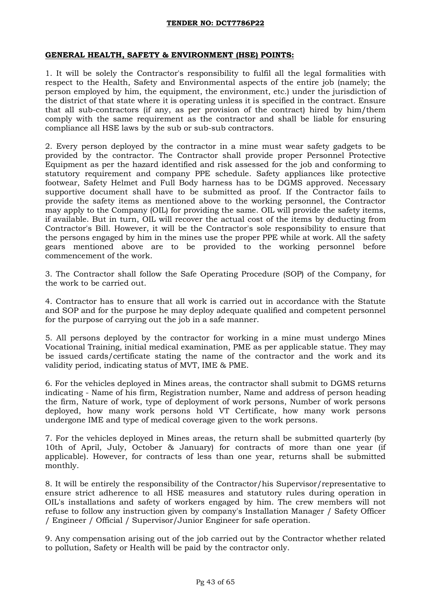### **GENERAL HEALTH, SAFETY & ENVIRONMENT (HSE) POINTS:**

1. It will be solely the Contractor's responsibility to fulfil all the legal formalities with respect to the Health, Safety and Environmental aspects of the entire job (namely; the person employed by him, the equipment, the environment, etc.) under the jurisdiction of the district of that state where it is operating unless it is specified in the contract. Ensure that all sub-contractors (if any, as per provision of the contract) hired by him/them comply with the same requirement as the contractor and shall be liable for ensuring compliance all HSE laws by the sub or sub-sub contractors.

2. Every person deployed by the contractor in a mine must wear safety gadgets to be provided by the contractor. The Contractor shall provide proper Personnel Protective Equipment as per the hazard identified and risk assessed for the job and conforming to statutory requirement and company PPE schedule. Safety appliances like protective footwear, Safety Helmet and Full Body harness has to be DGMS approved. Necessary supportive document shall have to be submitted as proof. If the Contractor fails to provide the safety items as mentioned above to the working personnel, the Contractor may apply to the Company (OIL) for providing the same. OIL will provide the safety items, if available. But in turn, OIL will recover the actual cost of the items by deducting from Contractor's Bill. However, it will be the Contractor's sole responsibility to ensure that the persons engaged by him in the mines use the proper PPE while at work. All the safety gears mentioned above are to be provided to the working personnel before commencement of the work.

3. The Contractor shall follow the Safe Operating Procedure (SOP) of the Company, for the work to be carried out.

4. Contractor has to ensure that all work is carried out in accordance with the Statute and SOP and for the purpose he may deploy adequate qualified and competent personnel for the purpose of carrying out the job in a safe manner.

5. All persons deployed by the contractor for working in a mine must undergo Mines Vocational Training, initial medical examination, PME as per applicable statue. They may be issued cards/certificate stating the name of the contractor and the work and its validity period, indicating status of MVT, IME & PME.

6. For the vehicles deployed in Mines areas, the contractor shall submit to DGMS returns indicating - Name of his firm, Registration number, Name and address of person heading the firm, Nature of work, type of deployment of work persons, Number of work persons deployed, how many work persons hold VT Certificate, how many work persons undergone IME and type of medical coverage given to the work persons.

7. For the vehicles deployed in Mines areas, the return shall be submitted quarterly (by 10th of April, July, October & January) for contracts of more than one year (if applicable). However, for contracts of less than one year, returns shall be submitted monthly.

8. It will be entirely the responsibility of the Contractor/his Supervisor/representative to ensure strict adherence to all HSE measures and statutory rules during operation in OIL's installations and safety of workers engaged by him. The crew members will not refuse to follow any instruction given by company's Installation Manager / Safety Officer / Engineer / Official / Supervisor/Junior Engineer for safe operation.

9. Any compensation arising out of the job carried out by the Contractor whether related to pollution, Safety or Health will be paid by the contractor only.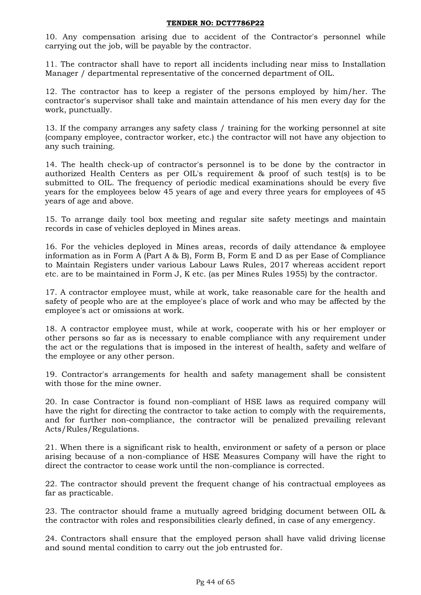10. Any compensation arising due to accident of the Contractor's personnel while carrying out the job, will be payable by the contractor.

11. The contractor shall have to report all incidents including near miss to Installation Manager / departmental representative of the concerned department of OIL.

12. The contractor has to keep a register of the persons employed by him/her. The contractor's supervisor shall take and maintain attendance of his men every day for the work, punctually.

13. If the company arranges any safety class / training for the working personnel at site (company employee, contractor worker, etc.) the contractor will not have any objection to any such training.

14. The health check-up of contractor's personnel is to be done by the contractor in authorized Health Centers as per OIL's requirement & proof of such test(s) is to be submitted to OIL. The frequency of periodic medical examinations should be every five years for the employees below 45 years of age and every three years for employees of 45 years of age and above.

15. To arrange daily tool box meeting and regular site safety meetings and maintain records in case of vehicles deployed in Mines areas.

16. For the vehicles deployed in Mines areas, records of daily attendance & employee information as in Form A (Part A & B), Form B, Form E and D as per Ease of Compliance to Maintain Registers under various Labour Laws Rules, 2017 whereas accident report etc. are to be maintained in Form J, K etc. (as per Mines Rules 1955) by the contractor.

17. A contractor employee must, while at work, take reasonable care for the health and safety of people who are at the employee's place of work and who may be affected by the employee's act or omissions at work.

18. A contractor employee must, while at work, cooperate with his or her employer or other persons so far as is necessary to enable compliance with any requirement under the act or the regulations that is imposed in the interest of health, safety and welfare of the employee or any other person.

19. Contractor's arrangements for health and safety management shall be consistent with those for the mine owner.

20. In case Contractor is found non-compliant of HSE laws as required company will have the right for directing the contractor to take action to comply with the requirements, and for further non-compliance, the contractor will be penalized prevailing relevant Acts/Rules/Regulations.

21. When there is a significant risk to health, environment or safety of a person or place arising because of a non-compliance of HSE Measures Company will have the right to direct the contractor to cease work until the non-compliance is corrected.

22. The contractor should prevent the frequent change of his contractual employees as far as practicable.

23. The contractor should frame a mutually agreed bridging document between OIL & the contractor with roles and responsibilities clearly defined, in case of any emergency.

24. Contractors shall ensure that the employed person shall have valid driving license and sound mental condition to carry out the job entrusted for.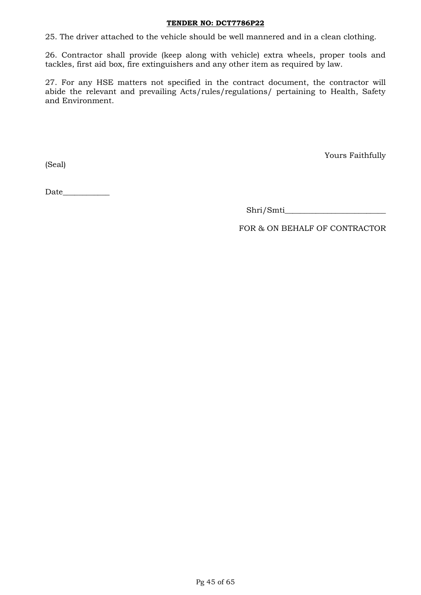25. The driver attached to the vehicle should be well mannered and in a clean clothing.

26. Contractor shall provide (keep along with vehicle) extra wheels, proper tools and tackles, first aid box, fire extinguishers and any other item as required by law.

27. For any HSE matters not specified in the contract document, the contractor will abide the relevant and prevailing Acts/rules/regulations/ pertaining to Health, Safety and Environment.

(Seal)

Yours Faithfully

Date  $\qquad \qquad$ 

Shri/Smti\_\_\_\_\_\_\_\_\_\_\_\_\_\_\_\_\_\_\_\_\_\_\_\_\_\_

FOR & ON BEHALF OF CONTRACTOR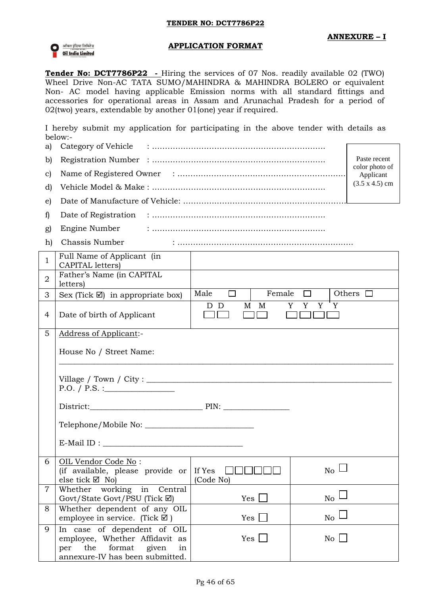

### **APPLICATION FORMAT**

**Tender No: DCT7786P22 -** Hiring the services of 07 Nos. readily available 02 (TWO) Wheel Drive Non-AC TATA SUMO/MAHINDRA & MAHINDRA BOLERO or equivalent Non- AC model having applicable Emission norms with all standard fittings and accessories for operational areas in Assam and Arunachal Pradesh for a period of 02(two) years, extendable by another 01(one) year if required.

I hereby submit my application for participating in the above tender with details as below:- $\frac{1}{2}$ 

| a)            |                                                      |
|---------------|------------------------------------------------------|
| b)            | Paste recent                                         |
| $\mathcal{C}$ | color photo of<br>Applicant<br>$(3.5 \times 4.5)$ cm |
| d             |                                                      |
| e)            |                                                      |
|               |                                                      |

- g) Engine Number : ………………………………………………………….
- h) Chassis Number : …………………………………………………………..

| $\mathbf{1}$   | Full Name of Applicant (in<br>CAPITAL letters)                                                                              |                 |                     |                  |                    |
|----------------|-----------------------------------------------------------------------------------------------------------------------------|-----------------|---------------------|------------------|--------------------|
| $\overline{2}$ | Father's Name (in CAPITAL<br>letters)                                                                                       |                 |                     |                  |                    |
| 3              | Sex (Tick $\boxtimes$ ) in appropriate box)                                                                                 | Male $\Box$     |                     | Female $\square$ | Others $\Box$      |
| 4              | Date of birth of Applicant                                                                                                  | D D             | M M<br>$\mathbf{1}$ | Y Y Y            | Y                  |
| 5              | <b>Address of Applicant:-</b>                                                                                               |                 |                     |                  |                    |
|                | House No / Street Name:                                                                                                     |                 |                     |                  |                    |
|                | P.O. / P.S. :                                                                                                               |                 |                     |                  |                    |
|                |                                                                                                                             |                 |                     |                  |                    |
|                |                                                                                                                             |                 |                     |                  |                    |
|                |                                                                                                                             |                 |                     |                  |                    |
| 6              | OIL Vendor Code No:<br>(if available, please provide or   If Yes $\Box$<br>else tick $\boxtimes$ No)                        | (Code No)       |                     |                  | $_{\rm No} \sqcup$ |
| $\overline{7}$ | Whether working in Central<br>Govt/State Govt/PSU (Tick $\boxtimes$ )                                                       | $Yes \mid \mid$ |                     |                  | $_{\rm No} \sqcup$ |
| 8              | Whether dependent of any OIL<br>employee in service. (Tick $\boxtimes$ )                                                    | Yes $\Box$      |                     |                  | $_{\rm No} \sqcup$ |
| 9              | In case of dependent of OIL<br>employee, Whether Affidavit as<br>per the format given in<br>annexure-IV has been submitted. | $Yes \Box$      |                     |                  | $\overline{N_0}$   |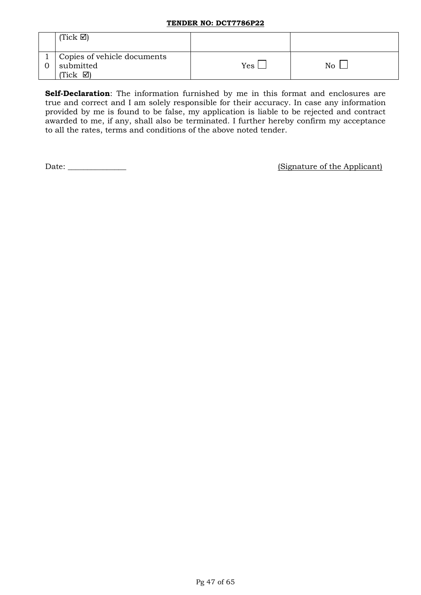| $(Tick \n\mathbb{Z})$                                   |     |    |
|---------------------------------------------------------|-----|----|
| Copies of vehicle documents<br>submitted<br>⊠।<br>(Tick | Yes | No |

**Self-Declaration**: The information furnished by me in this format and enclosures are true and correct and I am solely responsible for their accuracy. In case any information provided by me is found to be false, my application is liable to be rejected and contract awarded to me, if any, shall also be terminated. I further hereby confirm my acceptance to all the rates, terms and conditions of the above noted tender.

Date: \_\_\_\_\_\_\_\_\_\_\_\_\_\_\_ (Signature of the Applicant)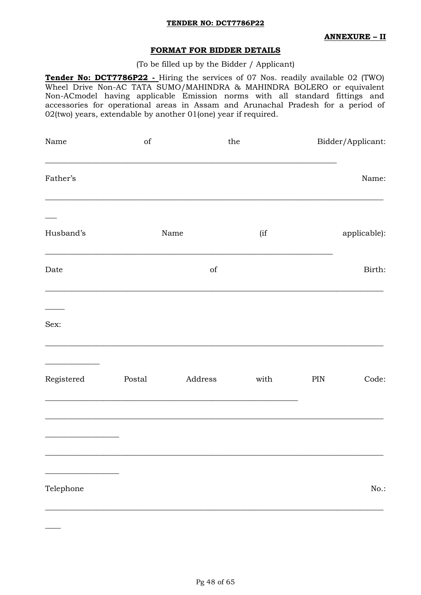### **ANNEXURE – II**

### **FORMAT FOR BIDDER DETAILS**

(To be filled up by the Bidder / Applicant)

**Tender No: DCT7786P22 -** Hiring the services of 07 Nos. readily available 02 (TWO) Wheel Drive Non-AC TATA SUMO/MAHINDRA & MAHINDRA BOLERO or equivalent Non-ACmodel having applicable Emission norms with all standard fittings and accessories for operational areas in Assam and Arunachal Pradesh for a period of 02(two) years, extendable by another 01(one) year if required.

| $% \left( \left( \mathcal{A},\mathcal{A}\right) \right) =\left( \mathcal{A},\mathcal{A}\right)$ of |         |      |     | Bidder/Applicant: |
|----------------------------------------------------------------------------------------------------|---------|------|-----|-------------------|
|                                                                                                    |         |      |     | Name:             |
|                                                                                                    |         | (if  |     | applicable):      |
|                                                                                                    | of      |      |     | Birth:            |
|                                                                                                    |         |      |     |                   |
| Postal                                                                                             | Address | with | PIN | Code:             |
|                                                                                                    |         |      |     |                   |
|                                                                                                    |         |      |     | $No.$ :           |
|                                                                                                    |         | Name | the |                   |

 $\overline{\phantom{a}}$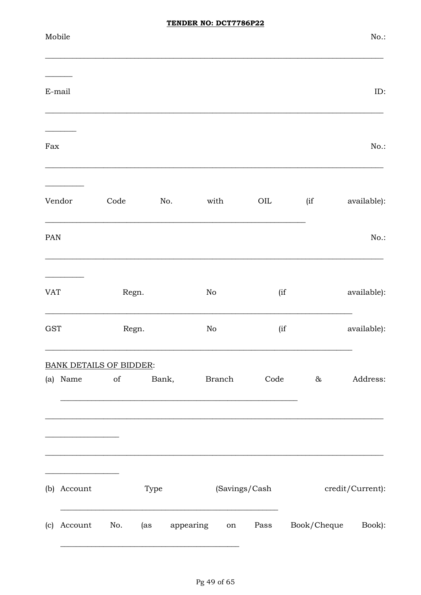| Mobile<br>$E$ -mail<br>Fax<br>Vendor<br>$\rm OIL$<br>(i f)<br>Code<br>No.<br>with | No.:<br>ID:<br>No.: |
|-----------------------------------------------------------------------------------|---------------------|
|                                                                                   |                     |
|                                                                                   |                     |
|                                                                                   |                     |
|                                                                                   | available):         |
| PAN                                                                               | No.:                |
| (if<br><b>VAT</b><br>Regn.<br>$\rm No$                                            | available):         |
| <b>GST</b><br>$\rm No$<br>(if<br>Regn.                                            | available):         |
| <b>BANK DETAILS OF BIDDER:</b><br>of Bank, Branch<br>(a) Name<br>Code<br>&        | Address:            |
|                                                                                   |                     |
| (b) Account<br>(Savings/Cash<br>Type                                              | credit/Current):    |
| Book/Cheque<br>Account<br>No.<br>appearing<br>Pass<br>(as<br>(c)<br>on            | Book):              |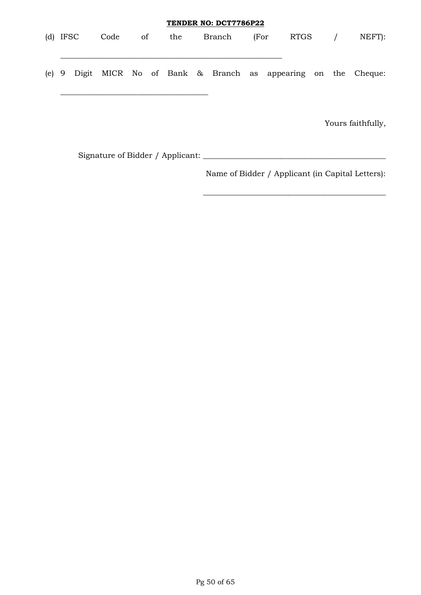|            |      |          |     | TENDER NO: DCT7786P22 |      |      |            |                                                                  |
|------------|------|----------|-----|-----------------------|------|------|------------|------------------------------------------------------------------|
| $(d)$ IFSC | Code | $\sigma$ | the | Branch                | (For | RTGS | $\sqrt{ }$ | NEFT):                                                           |
|            |      |          |     |                       |      |      |            |                                                                  |
|            |      |          |     |                       |      |      |            | (e) 9 Digit MICR No of Bank & Branch as appearing on the Cheque: |
|            |      |          |     |                       |      |      |            | $V_{\alpha11}$ of $\beta$ it $\beta$ is $11$                     |

Yours faithfully,

Signature of Bidder / Applicant: \_\_\_\_\_\_\_\_\_\_\_\_\_\_\_\_\_\_\_\_\_\_\_\_\_\_\_\_\_\_\_\_\_\_\_\_\_\_\_\_\_\_\_\_\_\_\_

Name of Bidder / Applicant (in Capital Letters):

\_\_\_\_\_\_\_\_\_\_\_\_\_\_\_\_\_\_\_\_\_\_\_\_\_\_\_\_\_\_\_\_\_\_\_\_\_\_\_\_\_\_\_\_\_\_\_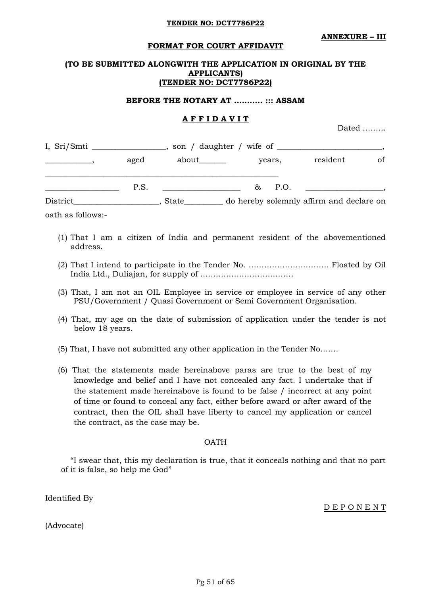**ANNEXURE – III**

#### **FORMAT FOR COURT AFFIDAVIT**

### **(TO BE SUBMITTED ALONGWITH THE APPLICATION IN ORIGINAL BY THE APPLICANTS) (TENDER NO: DCT7786P22)**

#### **BEFORE THE NOTARY AT ……….. ::: ASSAM**

### **A F F I D A V I T**

Dated ………

| I, Sri/Smti |      |              |  |        |        |                                          |    |
|-------------|------|--------------|--|--------|--------|------------------------------------------|----|
| aged        |      | about_______ |  | years, |        | resident                                 | of |
|             | P.S. |              |  |        | & P.O. |                                          |    |
| District    |      | <b>State</b> |  |        |        | do hereby solemnly affirm and declare on |    |

oath as follows:-

- (1) That I am a citizen of India and permanent resident of the abovementioned address.
- (2) That I intend to participate in the Tender No. …………………………. Floated by Oil India Ltd., Duliajan, for supply of ………………………………
- (3) That, I am not an OIL Employee in service or employee in service of any other PSU/Government / Quasi Government or Semi Government Organisation.
- (4) That, my age on the date of submission of application under the tender is not below 18 years.
- (5) That, I have not submitted any other application in the Tender No…….
- (6) That the statements made hereinabove paras are true to the best of my knowledge and belief and I have not concealed any fact. I undertake that if the statement made hereinabove is found to be false / incorrect at any point of time or found to conceal any fact, either before award or after award of the contract, then the OIL shall have liberty to cancel my application or cancel the contract, as the case may be.

### OATH

"I swear that, this my declaration is true, that it conceals nothing and that no part of it is false, so help me God"

Identified By

D E P O N E N T

(Advocate)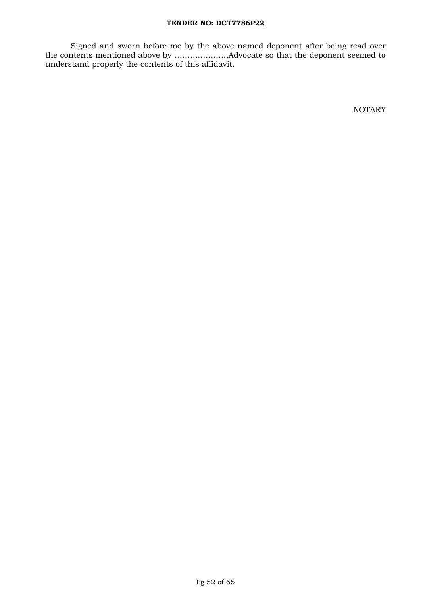Signed and sworn before me by the above named deponent after being read over the contents mentioned above by ………………..,Advocate so that the deponent seemed to understand properly the contents of this affidavit.

NOTARY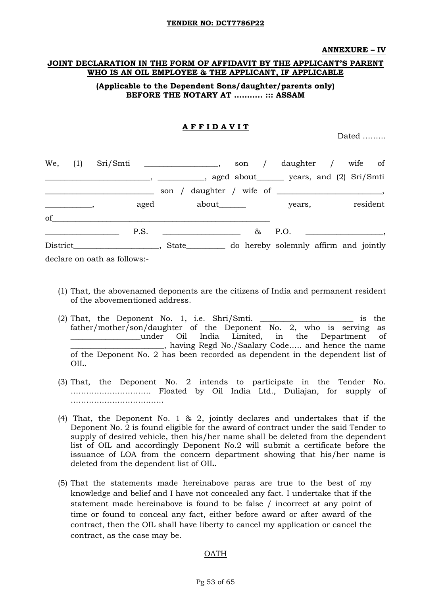#### **ANNEXURE – IV**

### **JOINT DECLARATION IN THE FORM OF AFFIDAVIT BY THE APPLICANT"S PARENT WHO IS AN OIL EMPLOYEE & THE APPLICANT, IF APPLICABLE**

### **(Applicable to the Dependent Sons/daughter/parents only) BEFORE THE NOTARY AT ……….. ::: ASSAM**

### **A F F I D A V I T**

Dated ………

| We, (1) |                              |      |                                                |          | son / daughter / wife of              |  |          |
|---------|------------------------------|------|------------------------------------------------|----------|---------------------------------------|--|----------|
|         |                              |      |                                                |          |                                       |  |          |
|         |                              |      |                                                |          |                                       |  |          |
|         |                              | aged | about_______                                   |          | years,                                |  | resident |
| of      |                              |      |                                                |          |                                       |  |          |
|         |                              | P.S. | <u> 1980 - Jan Barnett, fransk politiker (</u> | $\infty$ | P.O.                                  |  |          |
|         | District ,                   |      | State                                          |          | do hereby solemnly affirm and jointly |  |          |
|         | declare on oath as follows:- |      |                                                |          |                                       |  |          |

- (1) That, the abovenamed deponents are the citizens of India and permanent resident of the abovementioned address.
- (2) That, the Deponent No. 1, i.e. Shri/Smti. \_\_\_\_\_\_\_\_\_\_\_\_\_\_\_\_\_\_\_\_\_\_\_\_ is the father/mother/son/daughter of the Deponent No. 2, who is serving as \_\_\_\_\_\_\_\_\_\_\_\_\_\_\_\_\_\_under Oil India Limited, in the Department of \_\_\_\_\_\_\_\_\_\_\_\_\_\_\_\_\_\_\_\_\_\_\_\_, having Regd No./Saalary Code….. and hence the name of the Deponent No. 2 has been recorded as dependent in the dependent list of OIL.
- (3) That, the Deponent No. 2 intends to participate in the Tender No. …………………………. Floated by Oil India Ltd., Duliajan, for supply of ………………………………
- (4) That, the Deponent No. 1 & 2, jointly declares and undertakes that if the Deponent No. 2 is found eligible for the award of contract under the said Tender to supply of desired vehicle, then his/her name shall be deleted from the dependent list of OIL and accordingly Deponent No.2 will submit a certificate before the issuance of LOA from the concern department showing that his/her name is deleted from the dependent list of OIL.
- (5) That the statements made hereinabove paras are true to the best of my knowledge and belief and I have not concealed any fact. I undertake that if the statement made hereinabove is found to be false / incorrect at any point of time or found to conceal any fact, either before award or after award of the contract, then the OIL shall have liberty to cancel my application or cancel the contract, as the case may be.

### OATH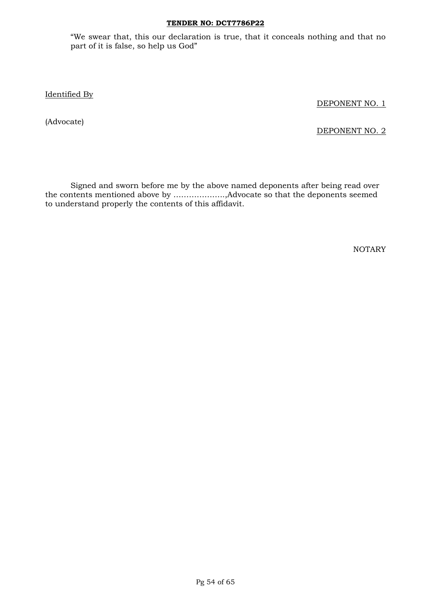"We swear that, this our declaration is true, that it conceals nothing and that no part of it is false, so help us God"

Identified By

DEPONENT NO. 1

(Advocate)

DEPONENT NO. 2

Signed and sworn before me by the above named deponents after being read over the contents mentioned above by ………………..,Advocate so that the deponents seemed to understand properly the contents of this affidavit.

NOTARY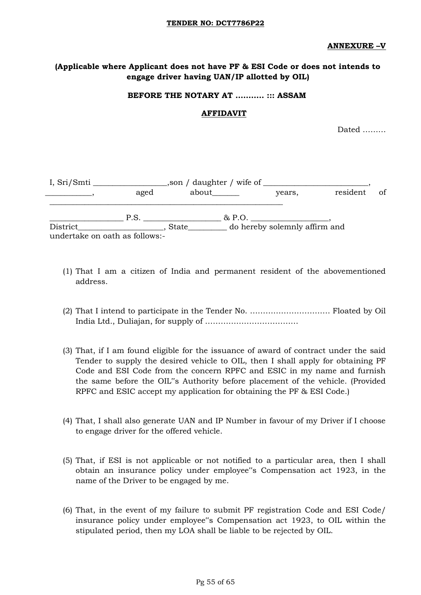#### **ANNEXURE –V**

### **(Applicable where Applicant does not have PF & ESI Code or does not intends to engage driver having UAN/IP allotted by OIL)**

### **BEFORE THE NOTARY AT ……….. ::: ASSAM**

### **AFFIDAVIT**

Dated ………

| I, Sri/Smti                                |      | son / daughter / wife of |                               |          |    |
|--------------------------------------------|------|--------------------------|-------------------------------|----------|----|
|                                            | aged | about                    | years,                        | resident | of |
|                                            | P.S. | & P.O.                   |                               |          |    |
| District<br>undertake on oath as follows:- |      | State                    | do hereby solemnly affirm and |          |    |
|                                            |      |                          |                               |          |    |

- (1) That I am a citizen of India and permanent resident of the abovementioned address.
- (2) That I intend to participate in the Tender No. …………………………. Floated by Oil India Ltd., Duliajan, for supply of ………………………………
- (3) That, if I am found eligible for the issuance of award of contract under the said Tender to supply the desired vehicle to OIL, then I shall apply for obtaining PF Code and ESI Code from the concern RPFC and ESIC in my name and furnish the same before the OIL"s Authority before placement of the vehicle. (Provided RPFC and ESIC accept my application for obtaining the PF & ESI Code.)
- (4) That, I shall also generate UAN and IP Number in favour of my Driver if I choose to engage driver for the offered vehicle.
- (5) That, if ESI is not applicable or not notified to a particular area, then I shall obtain an insurance policy under employee"s Compensation act 1923, in the name of the Driver to be engaged by me.
- (6) That, in the event of my failure to submit PF registration Code and ESI Code/ insurance policy under employee"s Compensation act 1923, to OIL within the stipulated period, then my LOA shall be liable to be rejected by OIL.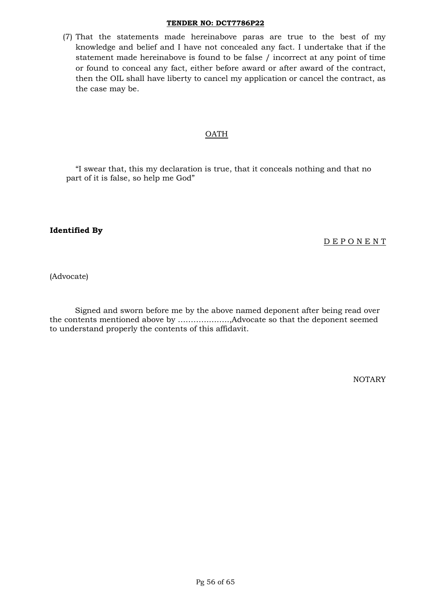(7) That the statements made hereinabove paras are true to the best of my knowledge and belief and I have not concealed any fact. I undertake that if the statement made hereinabove is found to be false / incorrect at any point of time or found to conceal any fact, either before award or after award of the contract, then the OIL shall have liberty to cancel my application or cancel the contract, as the case may be.

### OATH

"I swear that, this my declaration is true, that it conceals nothing and that no part of it is false, so help me God"

### **Identified By**

### D E P O N E N T

(Advocate)

Signed and sworn before me by the above named deponent after being read over the contents mentioned above by ………………..,Advocate so that the deponent seemed to understand properly the contents of this affidavit.

NOTARY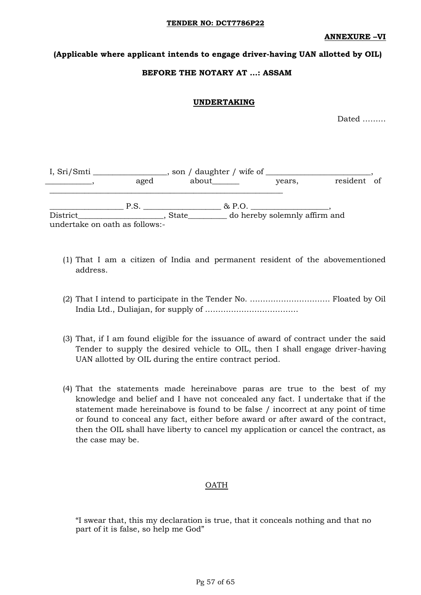**ANNEXURE –VI**

### **(Applicable where applicant intends to engage driver-having UAN allotted by OIL)**

### **BEFORE THE NOTARY AT …: ASSAM**

### **UNDERTAKING**

Dated ………

| I, Sri/Smti<br>aged                        |      | , son / daughter / wife of<br>about______ |        | years,                        | resident of |  |
|--------------------------------------------|------|-------------------------------------------|--------|-------------------------------|-------------|--|
|                                            | P.S. |                                           | & P.O. |                               |             |  |
| District<br>undertake on oath as follows:- |      | <b>State</b>                              |        | do hereby solemnly affirm and |             |  |

- (1) That I am a citizen of India and permanent resident of the abovementioned address.
- (2) That I intend to participate in the Tender No. …………………………. Floated by Oil India Ltd., Duliajan, for supply of ………………………………
- (3) That, if I am found eligible for the issuance of award of contract under the said Tender to supply the desired vehicle to OIL, then I shall engage driver-having UAN allotted by OIL during the entire contract period.
- (4) That the statements made hereinabove paras are true to the best of my knowledge and belief and I have not concealed any fact. I undertake that if the statement made hereinabove is found to be false / incorrect at any point of time or found to conceal any fact, either before award or after award of the contract, then the OIL shall have liberty to cancel my application or cancel the contract, as the case may be.

### OATH

"I swear that, this my declaration is true, that it conceals nothing and that no part of it is false, so help me God"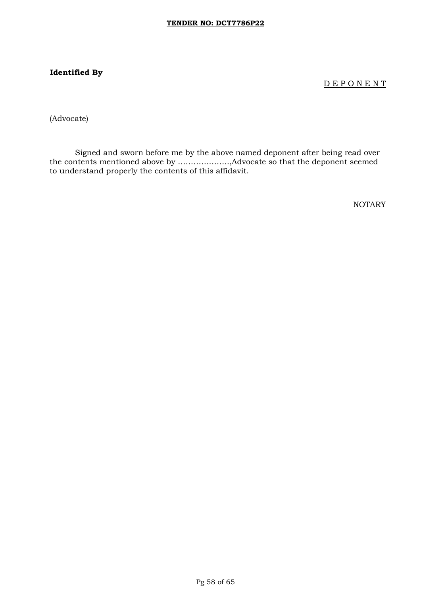# **Identified By**

D E P O N E N T

(Advocate)

Signed and sworn before me by the above named deponent after being read over the contents mentioned above by ………………..,Advocate so that the deponent seemed to understand properly the contents of this affidavit.

NOTARY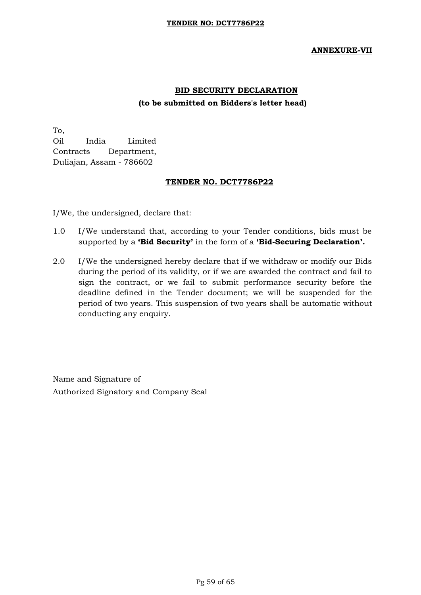### **ANNEXURE-VII**

# **BID SECURITY DECLARATION (to be submitted on Bidders's letter head)**

To, Oil India Limited Contracts Department, Duliajan, Assam - 786602

### **TENDER NO. DCT7786P22**

I/We, the undersigned, declare that:

- 1.0 I/We understand that, according to your Tender conditions, bids must be supported by a **"Bid Security"** in the form of a **"Bid-Securing Declaration".**
- 2.0 I/We the undersigned hereby declare that if we withdraw or modify our Bids during the period of its validity, or if we are awarded the contract and fail to sign the contract, or we fail to submit performance security before the deadline defined in the Tender document; we will be suspended for the period of two years. This suspension of two years shall be automatic without conducting any enquiry.

Name and Signature of Authorized Signatory and Company Seal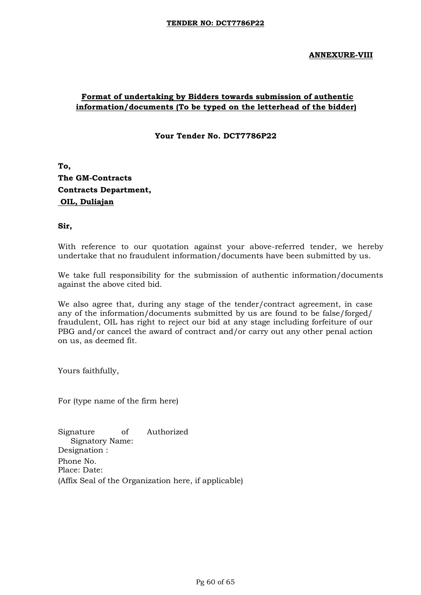### **ANNEXURE-VIII**

# **Format of undertaking by Bidders towards submission of authentic information/documents (To be typed on the letterhead of the bidder)**

**Your Tender No. DCT7786P22** 

**To, The GM-Contracts Contracts Department, OIL, Duliajan**

**Sir,** 

With reference to our quotation against your above-referred tender, we hereby undertake that no fraudulent information/documents have been submitted by us.

We take full responsibility for the submission of authentic information/documents against the above cited bid.

We also agree that, during any stage of the tender/contract agreement, in case any of the information/documents submitted by us are found to be false/forged/ fraudulent, OIL has right to reject our bid at any stage including forfeiture of our PBG and/or cancel the award of contract and/or carry out any other penal action on us, as deemed fit.

Yours faithfully,

For (type name of the firm here)

Signature of Authorized Signatory Name: Designation : Phone No. Place: Date: (Affix Seal of the Organization here, if applicable)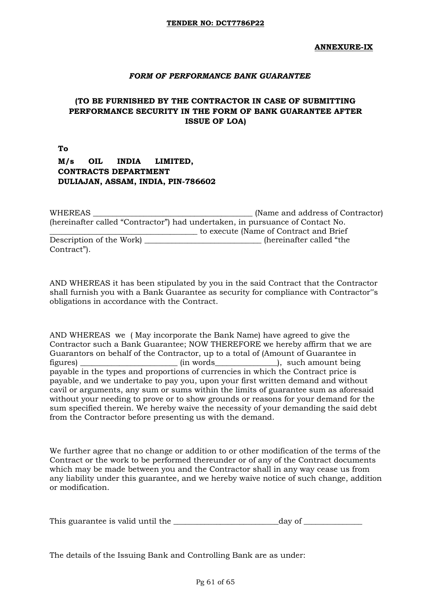### *FORM OF PERFORMANCE BANK GUARANTEE*

# **(TO BE FURNISHED BY THE CONTRACTOR IN CASE OF SUBMITTING PERFORMANCE SECURITY IN THE FORM OF BANK GUARANTEE AFTER ISSUE OF LOA)**

**To M/s OIL INDIA LIMITED, CONTRACTS DEPARTMENT DULIAJAN, ASSAM, INDIA, PIN-786602** 

| WHEREAS     |                         | (Name and address of Contractor)                                              |
|-------------|-------------------------|-------------------------------------------------------------------------------|
|             |                         | (hereinafter called "Contractor") had undertaken, in pursuance of Contact No. |
|             |                         | to execute (Name of Contract and Brief)                                       |
|             | Description of the Work | hereinafter called "the                                                       |
| Contract"). |                         |                                                                               |

AND WHEREAS it has been stipulated by you in the said Contract that the Contractor shall furnish you with a Bank Guarantee as security for compliance with Contractor"s obligations in accordance with the Contract.

AND WHEREAS we ( May incorporate the Bank Name) have agreed to give the Contractor such a Bank Guarantee; NOW THEREFORE we hereby affirm that we are Guarantors on behalf of the Contractor, up to a total of (Amount of Guarantee in figures) the same of the state of the state of the state of the state of the state of the state of the state of the state of the state of the state of the state of the state of the state of the state of the state of the st payable in the types and proportions of currencies in which the Contract price is payable, and we undertake to pay you, upon your first written demand and without cavil or arguments, any sum or sums within the limits of guarantee sum as aforesaid without your needing to prove or to show grounds or reasons for your demand for the sum specified therein. We hereby waive the necessity of your demanding the said debt from the Contractor before presenting us with the demand.

We further agree that no change or addition to or other modification of the terms of the Contract or the work to be performed thereunder or of any of the Contract documents which may be made between you and the Contractor shall in any way cease us from any liability under this guarantee, and we hereby waive notice of such change, addition or modification.

| This guarantee is valid until the | day of |
|-----------------------------------|--------|
|                                   |        |

The details of the Issuing Bank and Controlling Bank are as under: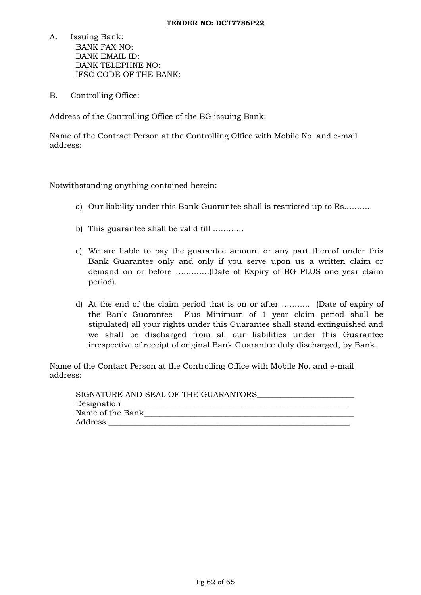- A. Issuing Bank: BANK FAX NO: BANK EMAIL ID: BANK TELEPHNE NO: IFSC CODE OF THE BANK:
- B. Controlling Office:

Address of the Controlling Office of the BG issuing Bank:

Name of the Contract Person at the Controlling Office with Mobile No. and e-mail address:

Notwithstanding anything contained herein:

- a) Our liability under this Bank Guarantee shall is restricted up to Rs………..
- b) This guarantee shall be valid till …………
- c) We are liable to pay the guarantee amount or any part thereof under this Bank Guarantee only and only if you serve upon us a written claim or demand on or before ………….(Date of Expiry of BG PLUS one year claim period).
- d) At the end of the claim period that is on or after ……….. (Date of expiry of the Bank Guarantee Plus Minimum of 1 year claim period shall be stipulated) all your rights under this Guarantee shall stand extinguished and we shall be discharged from all our liabilities under this Guarantee irrespective of receipt of original Bank Guarantee duly discharged, by Bank.

Name of the Contact Person at the Controlling Office with Mobile No. and e-mail address:

| SIGNATURE AND SEAL OF THE GUARANTORS |
|--------------------------------------|
| Designation_                         |
| Name of the Bank                     |
| Address                              |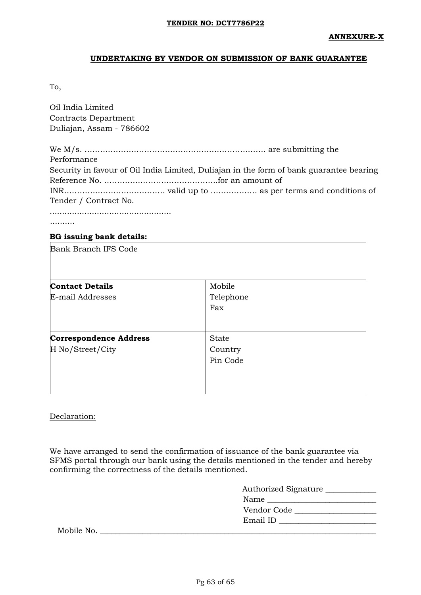### **UNDERTAKING BY VENDOR ON SUBMISSION OF BANK GUARANTEE**

To,

Oil India Limited Contracts Department Duliajan, Assam - 786602

We M/s. ……………………………………………………………. are submitting the Performance Security in favour of Oil India Limited, Duliajan in the form of bank guarantee bearing Reference No. ……………………………………..for an amount of INR………………………………… valid up to ……………… as per terms and conditions of Tender / Contract No. .................................................

..........

### **BG issuing bank details:**

| Bank Branch IFS Code          |              |  |
|-------------------------------|--------------|--|
|                               |              |  |
| <b>Contact Details</b>        | Mobile       |  |
| E-mail Addresses              | Telephone    |  |
|                               | Fax          |  |
|                               |              |  |
| <b>Correspondence Address</b> | <b>State</b> |  |
| H No/Street/City              | Country      |  |
|                               | Pin Code     |  |
|                               |              |  |
|                               |              |  |
|                               |              |  |

### Declaration:

We have arranged to send the confirmation of issuance of the bank guarantee via SFMS portal through our bank using the details mentioned in the tender and hereby confirming the correctness of the details mentioned.

| <b>Authorized Signature</b> |
|-----------------------------|
| Name                        |
| Vendor Code                 |
| Email ID                    |
|                             |

Mobile No. \_\_\_\_\_\_\_\_\_\_\_\_\_\_\_\_\_\_\_\_\_\_\_\_\_\_\_\_\_\_\_\_\_\_\_\_\_\_\_\_\_\_\_\_\_\_\_\_\_\_\_\_\_\_\_\_\_\_\_\_\_\_\_\_\_\_\_\_\_\_\_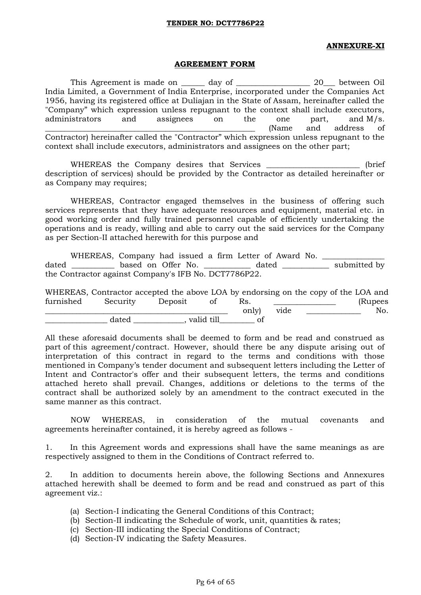### **ANNEXURE-XI**

#### **AGREEMENT FORM**

This Agreement is made on \_\_\_\_\_\_ day of \_\_\_\_\_\_\_\_\_\_\_\_\_\_\_\_\_\_\_ 20\_\_\_ between Oil India Limited, a Government of India Enterprise, incorporated under the Companies Act 1956, having its registered office at Duliajan in the State of Assam, hereinafter called the "Company" which expression unless repugnant to the context shall include executors, administrators and assignees on the one part, and M/s. \_\_\_\_\_\_\_\_\_\_\_\_\_\_\_\_\_\_\_\_\_\_\_\_\_\_\_\_\_\_\_\_\_\_\_\_\_\_\_\_\_\_\_\_\_\_\_\_\_\_\_\_\_\_ (Name and address of Contractor) hereinafter called the "Contractor" which expression unless repugnant to the context shall include executors, administrators and assignees on the other part;

WHEREAS the Company desires that Services \_\_\_\_\_\_\_\_\_\_\_\_\_\_\_\_\_\_\_\_\_\_\_\_\_\_ (brief description of services) should be provided by the Contractor as detailed hereinafter or as Company may requires;

WHEREAS, Contractor engaged themselves in the business of offering such services represents that they have adequate resources and equipment, material etc. in good working order and fully trained personnel capable of efficiently undertaking the operations and is ready, willing and able to carry out the said services for the Company as per Section-II attached herewith for this purpose and

WHEREAS, Company had issued a firm Letter of Award No. dated \_\_\_\_\_\_\_\_\_\_\_\_ based on Offer No. \_\_\_\_\_\_\_\_\_\_\_\_\_ dated \_\_\_\_\_\_\_\_\_\_\_\_\_ submitted by the Contractor against Company's IFB No. DCT7786P22.

|           | WHEREAS, Contractor accepted the above LOA by endorsing on the copy of the LOA and |         |            |       |      |          |
|-----------|------------------------------------------------------------------------------------|---------|------------|-------|------|----------|
| furnished | Security                                                                           | Deposit |            | Rs.   |      | (Rupees) |
|           |                                                                                    |         |            | only) | vide | No.      |
|           | dated                                                                              |         | valid till |       |      |          |

All these aforesaid documents shall be deemed to form and be read and construed as part of this agreement/contract. However, should there be any dispute arising out of interpretation of this contract in regard to the terms and conditions with those mentioned in Company"s tender document and subsequent letters including the Letter of Intent and Contractor's offer and their subsequent letters, the terms and conditions attached hereto shall prevail. Changes, additions or deletions to the terms of the contract shall be authorized solely by an amendment to the contract executed in the same manner as this contract.

NOW WHEREAS, in consideration of the mutual covenants and agreements hereinafter contained, it is hereby agreed as follows -

1. In this Agreement words and expressions shall have the same meanings as are respectively assigned to them in the Conditions of Contract referred to.

2. In addition to documents herein above, the following Sections and Annexures attached herewith shall be deemed to form and be read and construed as part of this agreement viz.:

- (a) Section-I indicating the General Conditions of this Contract;
- (b) Section-II indicating the Schedule of work, unit, quantities & rates;
- (c) Section-III indicating the Special Conditions of Contract;
- (d) Section-IV indicating the Safety Measures.